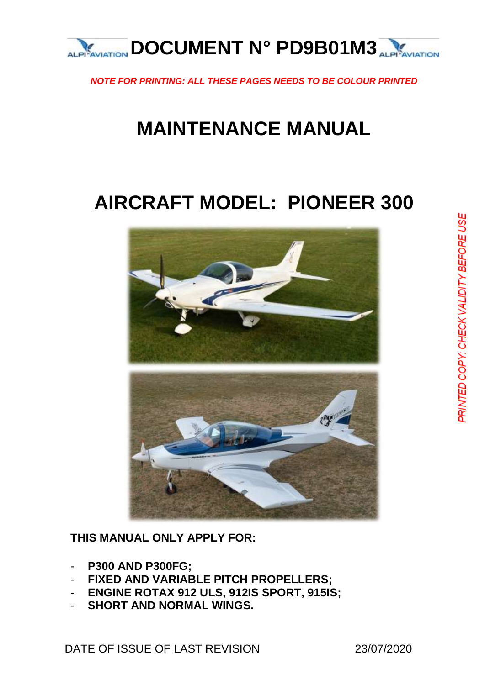

*NOTE FOR PRINTING: ALL THESE PAGES NEEDS TO BE COLOUR PRINTED*

# **MAINTENANCE MANUAL**

# **AIRCRAFT MODEL: PIONEER 300**



**THIS MANUAL ONLY APPLY FOR:**

- **P300 AND P300FG;**
- **FIXED AND VARIABLE PITCH PROPELLERS;**
- **ENGINE ROTAX 912 ULS, 912IS SPORT, 915IS;**
- **SHORT AND NORMAL WINGS.**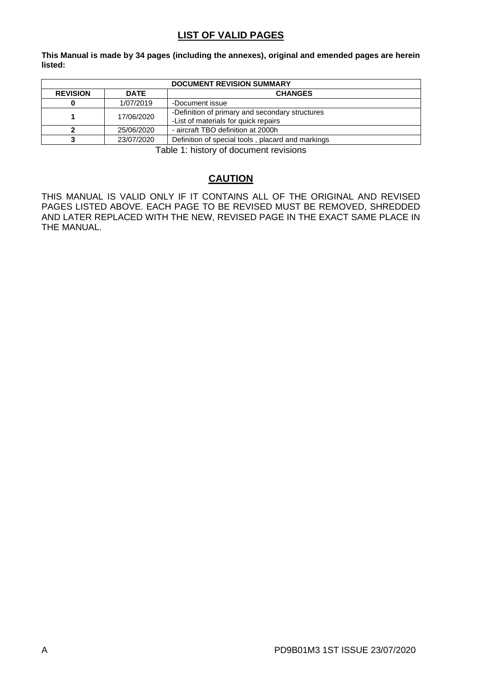#### **LIST OF VALID PAGES**

**This Manual is made by 34 pages (including the annexes), original and emended pages are herein listed:**

| <b>DOCUMENT REVISION SUMMARY</b>                 |            |                                                                                         |
|--------------------------------------------------|------------|-----------------------------------------------------------------------------------------|
| <b>REVISION</b><br><b>DATE</b><br><b>CHANGES</b> |            |                                                                                         |
| 1/07/2019<br>-Document issue                     |            |                                                                                         |
|                                                  | 17/06/2020 | -Definition of primary and secondary structures<br>-List of materials for quick repairs |
| - aircraft TBO definition at 2000h<br>25/06/2020 |            |                                                                                         |
|                                                  | 23/07/2020 | Definition of special tools, placard and markings                                       |

Table 1: history of document revisions

#### **CAUTION**

<span id="page-1-0"></span>THIS MANUAL IS VALID ONLY IF IT CONTAINS ALL OF THE ORIGINAL AND REVISED PAGES LISTED ABOVE. EACH PAGE TO BE REVISED MUST BE REMOVED, SHREDDED AND LATER REPLACED WITH THE NEW, REVISED PAGE IN THE EXACT SAME PLACE IN THE MANUAL.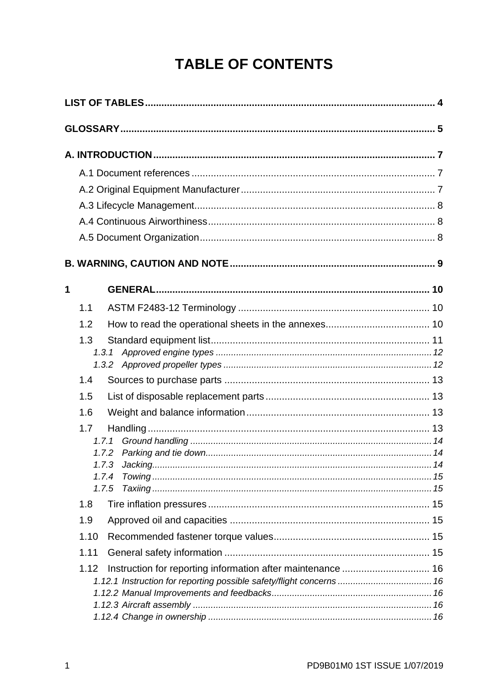# **TABLE OF CONTENTS**

| 1 |                |                                                                      |  |
|---|----------------|----------------------------------------------------------------------|--|
|   | 1.1            |                                                                      |  |
|   | 1.2            |                                                                      |  |
|   | 1.3            |                                                                      |  |
|   |                | 1.3.1                                                                |  |
|   | 1.4            |                                                                      |  |
|   | 1.5            |                                                                      |  |
|   | 1.6            |                                                                      |  |
|   | 1.7            |                                                                      |  |
|   |                | 1.7.1                                                                |  |
|   |                |                                                                      |  |
|   |                |                                                                      |  |
|   | 1.7.4<br>1.7.5 |                                                                      |  |
|   | 1.8            |                                                                      |  |
|   | 1.9            |                                                                      |  |
|   | 1.10           |                                                                      |  |
|   | 1.11           |                                                                      |  |
|   | 1.12           |                                                                      |  |
|   |                | 1.12.1 Instruction for reporting possible safety/flight concerns  16 |  |
|   |                |                                                                      |  |
|   |                |                                                                      |  |
|   |                |                                                                      |  |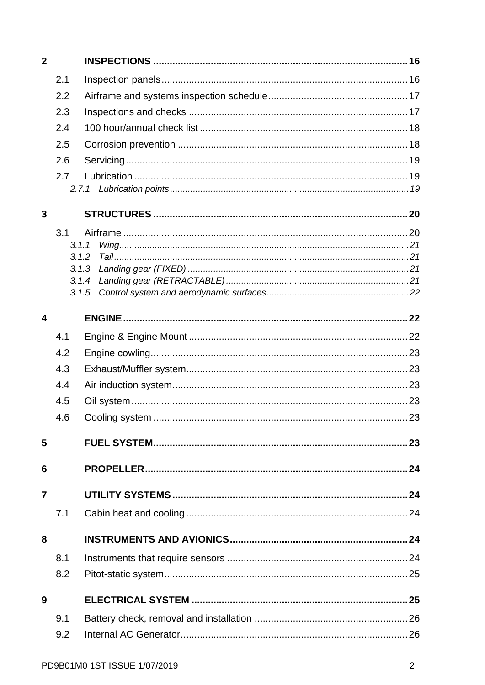| $\overline{\mathbf{2}}$ |                |  |
|-------------------------|----------------|--|
|                         | 2.1            |  |
|                         | 2.2            |  |
|                         | 2.3            |  |
|                         | 2.4            |  |
|                         | 2.5            |  |
|                         | 2.6            |  |
|                         | 2.7            |  |
|                         |                |  |
| 3                       |                |  |
|                         | 3.1            |  |
|                         | 3.1.1          |  |
|                         | 3.1.2          |  |
|                         | 3.1.3<br>3.1.4 |  |
|                         | 3.1.5          |  |
| 4                       |                |  |
|                         | 4.1            |  |
|                         | 4.2            |  |
|                         | 4.3            |  |
|                         | 4.4            |  |
|                         | 4.5            |  |
|                         | 4.6            |  |
| 5                       |                |  |
|                         |                |  |
| 6                       |                |  |
| 7                       |                |  |
|                         | 7.1            |  |
| 8                       |                |  |
|                         | 8.1            |  |
|                         | 8.2            |  |
| 9                       |                |  |
|                         | 9.1            |  |
|                         | 9.2            |  |
|                         |                |  |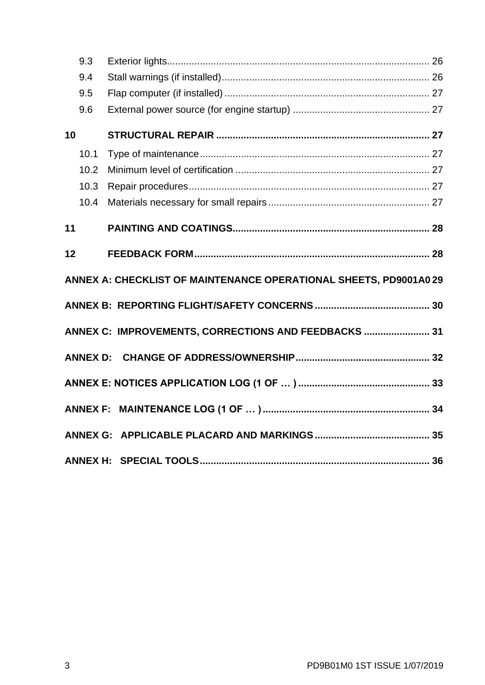|    | 9.3             |                                                                  |  |
|----|-----------------|------------------------------------------------------------------|--|
|    | 9.4             |                                                                  |  |
|    | 9.5             |                                                                  |  |
|    | 9.6             |                                                                  |  |
| 10 |                 |                                                                  |  |
|    | 10.1            |                                                                  |  |
|    | 10.2            |                                                                  |  |
|    | 10.3            |                                                                  |  |
|    | 10.4            |                                                                  |  |
| 11 |                 |                                                                  |  |
| 12 |                 |                                                                  |  |
|    |                 |                                                                  |  |
|    |                 | ANNEX A: CHECKLIST OF MAINTENANCE OPERATIONAL SHEETS, PD9001A029 |  |
|    |                 |                                                                  |  |
|    |                 | ANNEX C: IMPROVEMENTS, CORRECTIONS AND FEEDBACKS  31             |  |
|    | <b>ANNEX D:</b> |                                                                  |  |
|    |                 |                                                                  |  |
|    |                 |                                                                  |  |
|    |                 |                                                                  |  |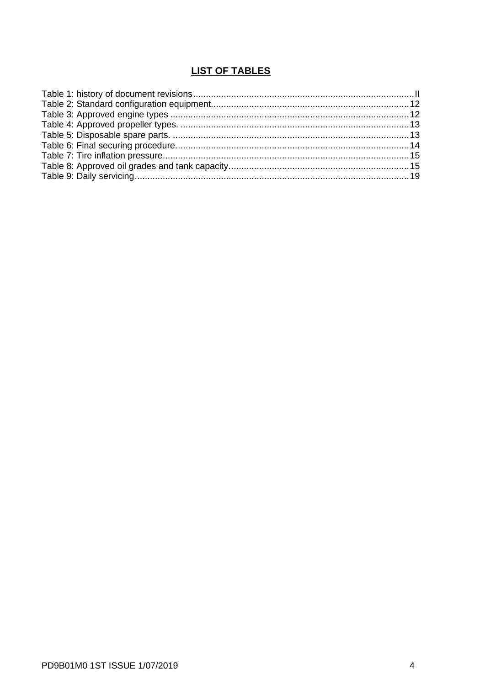### **LIST OF TABLES**

<span id="page-5-0"></span>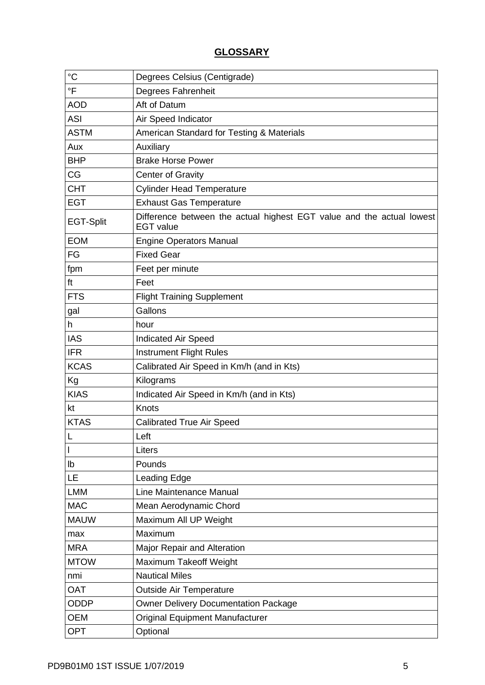### **GLOSSARY**

<span id="page-6-0"></span>

| $\rm ^{\circ}C$  | Degrees Celsius (Centigrade)                                                              |  |
|------------------|-------------------------------------------------------------------------------------------|--|
| °F               | <b>Degrees Fahrenheit</b>                                                                 |  |
| <b>AOD</b>       | Aft of Datum                                                                              |  |
| <b>ASI</b>       | Air Speed Indicator                                                                       |  |
| <b>ASTM</b>      | American Standard for Testing & Materials                                                 |  |
| Aux              | Auxiliary                                                                                 |  |
| <b>BHP</b>       | <b>Brake Horse Power</b>                                                                  |  |
| CG               | <b>Center of Gravity</b>                                                                  |  |
| <b>CHT</b>       | <b>Cylinder Head Temperature</b>                                                          |  |
| <b>EGT</b>       | <b>Exhaust Gas Temperature</b>                                                            |  |
| <b>EGT-Split</b> | Difference between the actual highest EGT value and the actual lowest<br><b>EGT</b> value |  |
| <b>EOM</b>       | <b>Engine Operators Manual</b>                                                            |  |
| FG               | <b>Fixed Gear</b>                                                                         |  |
| fpm              | Feet per minute                                                                           |  |
| ft               | Feet                                                                                      |  |
| <b>FTS</b>       | <b>Flight Training Supplement</b>                                                         |  |
| gal              | Gallons                                                                                   |  |
| h                | hour                                                                                      |  |
| <b>IAS</b>       | <b>Indicated Air Speed</b>                                                                |  |
| <b>IFR</b>       | <b>Instrument Flight Rules</b>                                                            |  |
| <b>KCAS</b>      | Calibrated Air Speed in Km/h (and in Kts)                                                 |  |
| Kg               | Kilograms                                                                                 |  |
| <b>KIAS</b>      | Indicated Air Speed in Km/h (and in Kts)                                                  |  |
| kt               | Knots                                                                                     |  |
| <b>KTAS</b>      | <b>Calibrated True Air Speed</b>                                                          |  |
| L                | Left                                                                                      |  |
| I                | Liters                                                                                    |  |
| lb               | Pounds                                                                                    |  |
| LE               | Leading Edge                                                                              |  |
| <b>LMM</b>       | Line Maintenance Manual                                                                   |  |
| <b>MAC</b>       | Mean Aerodynamic Chord                                                                    |  |
| <b>MAUW</b>      | Maximum All UP Weight                                                                     |  |
| max              | Maximum                                                                                   |  |
| <b>MRA</b>       | Major Repair and Alteration                                                               |  |
| <b>MTOW</b>      | Maximum Takeoff Weight                                                                    |  |
| nmi              | <b>Nautical Miles</b>                                                                     |  |
| <b>OAT</b>       | <b>Outside Air Temperature</b>                                                            |  |
| ODDP             | <b>Owner Delivery Documentation Package</b>                                               |  |
| <b>OEM</b>       | <b>Original Equipment Manufacturer</b>                                                    |  |
| <b>OPT</b>       | Optional                                                                                  |  |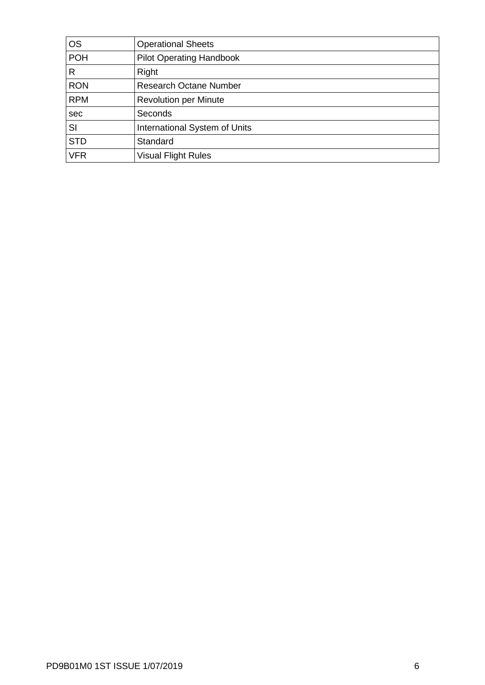| <b>OS</b>  | <b>Operational Sheets</b>       |
|------------|---------------------------------|
| <b>POH</b> | <b>Pilot Operating Handbook</b> |
| R          | Right                           |
| <b>RON</b> | <b>Research Octane Number</b>   |
| <b>RPM</b> | <b>Revolution per Minute</b>    |
| sec        | Seconds                         |
| SI         | International System of Units   |
| <b>STD</b> | Standard                        |
| <b>VFR</b> | <b>Visual Flight Rules</b>      |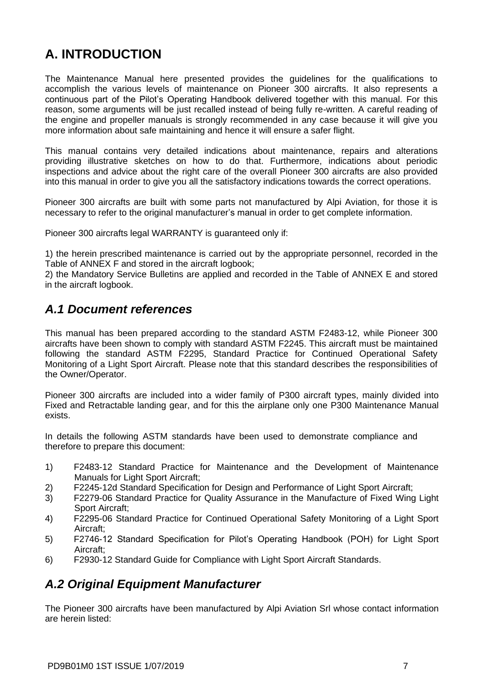# <span id="page-8-0"></span>**A. INTRODUCTION**

The Maintenance Manual here presented provides the guidelines for the qualifications to accomplish the various levels of maintenance on Pioneer 300 aircrafts. It also represents a continuous part of the Pilot's Operating Handbook delivered together with this manual. For this reason, some arguments will be just recalled instead of being fully re-written. A careful reading of the engine and propeller manuals is strongly recommended in any case because it will give you more information about safe maintaining and hence it will ensure a safer flight.

This manual contains very detailed indications about maintenance, repairs and alterations providing illustrative sketches on how to do that. Furthermore, indications about periodic inspections and advice about the right care of the overall Pioneer 300 aircrafts are also provided into this manual in order to give you all the satisfactory indications towards the correct operations.

Pioneer 300 aircrafts are built with some parts not manufactured by Alpi Aviation, for those it is necessary to refer to the original manufacturer's manual in order to get complete information.

Pioneer 300 aircrafts legal WARRANTY is guaranteed only if:

1) the herein prescribed maintenance is carried out by the appropriate personnel, recorded in the Table of ANNEX F and stored in the aircraft logbook;

2) the Mandatory Service Bulletins are applied and recorded in the Table of ANNEX E and stored in the aircraft logbook.

### <span id="page-8-1"></span>*A.1 Document references*

This manual has been prepared according to the standard ASTM F2483-12, while Pioneer 300 aircrafts have been shown to comply with standard ASTM F2245. This aircraft must be maintained following the standard ASTM F2295, Standard Practice for Continued Operational Safety Monitoring of a Light Sport Aircraft. Please note that this standard describes the responsibilities of the Owner/Operator.

Pioneer 300 aircrafts are included into a wider family of P300 aircraft types, mainly divided into Fixed and Retractable landing gear, and for this the airplane only one P300 Maintenance Manual exists.

In details the following ASTM standards have been used to demonstrate compliance and therefore to prepare this document:

- 1) F2483-12 Standard Practice for Maintenance and the Development of Maintenance Manuals for Light Sport Aircraft;
- 2) F2245-12d Standard Specification for Design and Performance of Light Sport Aircraft;
- 3) F2279-06 Standard Practice for Quality Assurance in the Manufacture of Fixed Wing Light Sport Aircraft;
- 4) F2295-06 Standard Practice for Continued Operational Safety Monitoring of a Light Sport Aircraft;
- 5) F2746-12 Standard Specification for Pilot's Operating Handbook (POH) for Light Sport Aircraft;
- <span id="page-8-3"></span><span id="page-8-2"></span>6) F2930-12 Standard Guide for Compliance with Light Sport Aircraft Standards.

### *A.2 Original Equipment Manufacturer*

The Pioneer 300 aircrafts have been manufactured by Alpi Aviation Srl whose contact information are herein listed: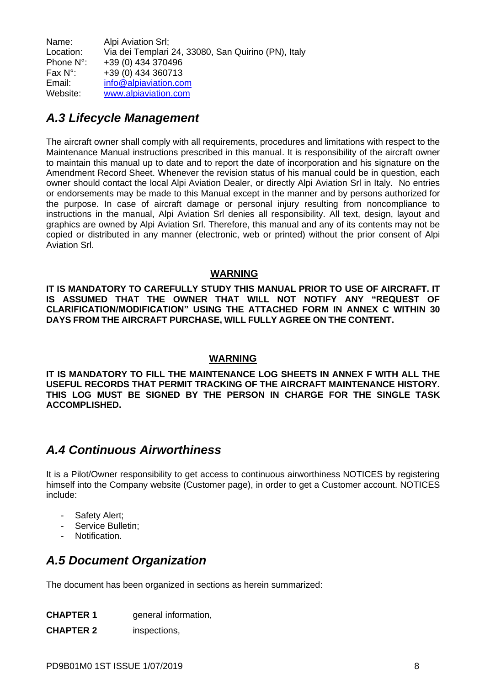Name: Alpi Aviation Srl: Location: Via dei Templari 24, 33080, San Quirino (PN), Italy Phone N°: +39 (0) 434 370496<br>Fax N°: +39 (0) 434 360713 Fax  $N^{\circ}$ :  $+39(0)$  434 360713<br>Email:  $\frac{\text{info} @ \text{alpiaviation.co}}{100}$ Email: [info@alpiaviation.com](mailto:info@alpiaviation.com)<br>Website: www.alpiaviation.com [www.alpiaviation.com](http://www.alpiaviation.com/)

## <span id="page-9-0"></span>*A.3 Lifecycle Management*

The aircraft owner shall comply with all requirements, procedures and limitations with respect to the Maintenance Manual instructions prescribed in this manual. It is responsibility of the aircraft owner to maintain this manual up to date and to report the date of incorporation and his signature on the Amendment Record Sheet. Whenever the revision status of his manual could be in question, each owner should contact the local Alpi Aviation Dealer, or directly Alpi Aviation Srl in Italy. No entries or endorsements may be made to this Manual except in the manner and by persons authorized for the purpose. In case of aircraft damage or personal injury resulting from noncompliance to instructions in the manual, Alpi Aviation Srl denies all responsibility. All text, design, layout and graphics are owned by Alpi Aviation Srl. Therefore, this manual and any of its contents may not be copied or distributed in any manner (electronic, web or printed) without the prior consent of Alpi Aviation Srl.

#### **WARNING**

**IT IS MANDATORY TO CAREFULLY STUDY THIS MANUAL PRIOR TO USE OF AIRCRAFT. IT IS ASSUMED THAT THE OWNER THAT WILL NOT NOTIFY ANY "REQUEST OF CLARIFICATION/MODIFICATION" USING THE ATTACHED FORM IN ANNEX C WITHIN 30 DAYS FROM THE AIRCRAFT PURCHASE, WILL FULLY AGREE ON THE CONTENT.**

#### **WARNING**

**IT IS MANDATORY TO FILL THE MAINTENANCE LOG SHEETS IN ANNEX F WITH ALL THE USEFUL RECORDS THAT PERMIT TRACKING OF THE AIRCRAFT MAINTENANCE HISTORY. THIS LOG MUST BE SIGNED BY THE PERSON IN CHARGE FOR THE SINGLE TASK ACCOMPLISHED.**

### <span id="page-9-1"></span>*A.4 Continuous Airworthiness*

It is a Pilot/Owner responsibility to get access to continuous airworthiness NOTICES by registering himself into the Company website (Customer page), in order to get a Customer account. NOTICES include:

- Safety Alert;
- Service Bulletin:
- Notification.

### <span id="page-9-2"></span>*A.5 Document Organization*

The document has been organized in sections as herein summarized:

| <b>CHAPTER 1</b> | general information, |
|------------------|----------------------|
| <b>CHAPTER 2</b> | inspections,         |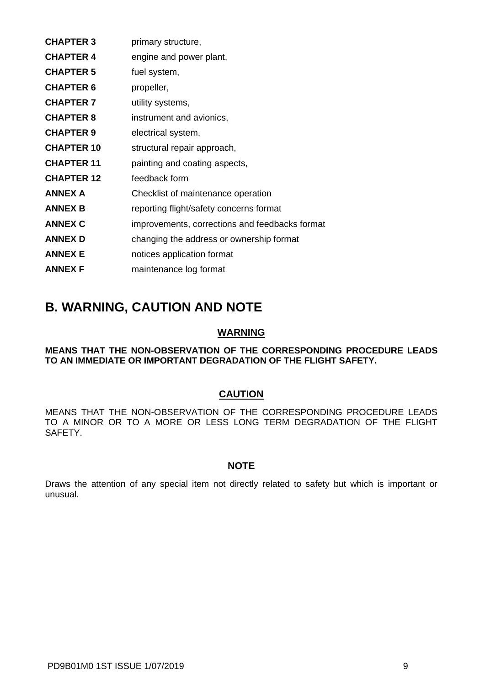| <b>CHAPTER 3</b>  | primary structure,                             |
|-------------------|------------------------------------------------|
| <b>CHAPTER 4</b>  | engine and power plant,                        |
| <b>CHAPTER 5</b>  | fuel system,                                   |
| <b>CHAPTER 6</b>  | propeller,                                     |
| <b>CHAPTER 7</b>  | utility systems,                               |
| <b>CHAPTER 8</b>  | instrument and avionics,                       |
| <b>CHAPTER 9</b>  | electrical system,                             |
| <b>CHAPTER 10</b> | structural repair approach,                    |
| <b>CHAPTER 11</b> | painting and coating aspects,                  |
| <b>CHAPTER 12</b> | feedback form                                  |
| <b>ANNEX A</b>    | Checklist of maintenance operation             |
| <b>ANNEX B</b>    | reporting flight/safety concerns format        |
| <b>ANNEX C</b>    | improvements, corrections and feedbacks format |
| <b>ANNEX D</b>    | changing the address or ownership format       |
| <b>ANNEX E</b>    | notices application format                     |
| <b>ANNEX F</b>    | maintenance log format                         |

### <span id="page-10-0"></span>**B. WARNING, CAUTION AND NOTE**

#### **WARNING**

#### **MEANS THAT THE NON-OBSERVATION OF THE CORRESPONDING PROCEDURE LEADS TO AN IMMEDIATE OR IMPORTANT DEGRADATION OF THE FLIGHT SAFETY.**

#### **CAUTION**

MEANS THAT THE NON-OBSERVATION OF THE CORRESPONDING PROCEDURE LEADS TO A MINOR OR TO A MORE OR LESS LONG TERM DEGRADATION OF THE FLIGHT SAFETY.

#### **NOTE**

Draws the attention of any special item not directly related to safety but which is important or unusual.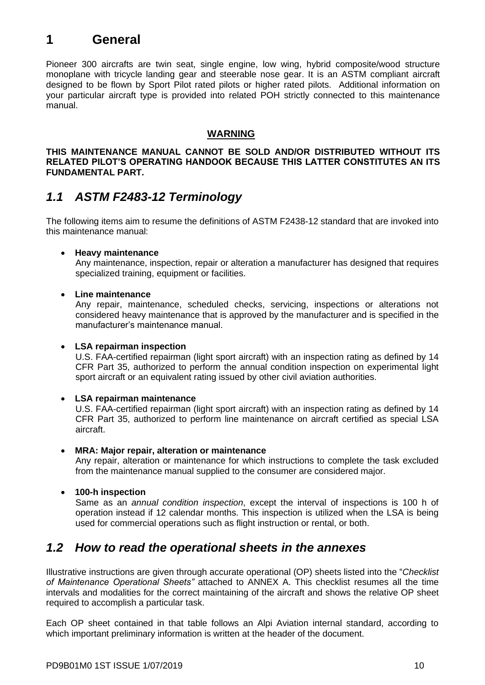# <span id="page-11-0"></span>**1 General**

Pioneer 300 aircrafts are twin seat, single engine, low wing, hybrid composite/wood structure monoplane with tricycle landing gear and steerable nose gear. It is an ASTM compliant aircraft designed to be flown by Sport Pilot rated pilots or higher rated pilots. Additional information on your particular aircraft type is provided into related POH strictly connected to this maintenance manual.

#### **WARNING**

**THIS MAINTENANCE MANUAL CANNOT BE SOLD AND/OR DISTRIBUTED WITHOUT ITS RELATED PILOT'S OPERATING HANDOOK BECAUSE THIS LATTER CONSTITUTES AN ITS FUNDAMENTAL PART.**

### <span id="page-11-1"></span>*1.1 ASTM F2483-12 Terminology*

The following items aim to resume the definitions of ASTM F2438-12 standard that are invoked into this maintenance manual:

#### • **Heavy maintenance**

Any maintenance, inspection, repair or alteration a manufacturer has designed that requires specialized training, equipment or facilities.

#### • **Line maintenance**

Any repair, maintenance, scheduled checks, servicing, inspections or alterations not considered heavy maintenance that is approved by the manufacturer and is specified in the manufacturer's maintenance manual.

#### • **LSA repairman inspection**

U.S. FAA-certified repairman (light sport aircraft) with an inspection rating as defined by 14 CFR Part 35, authorized to perform the annual condition inspection on experimental light sport aircraft or an equivalent rating issued by other civil aviation authorities.

#### • **LSA repairman maintenance**

U.S. FAA-certified repairman (light sport aircraft) with an inspection rating as defined by 14 CFR Part 35, authorized to perform line maintenance on aircraft certified as special LSA aircraft.

#### • **MRA: Major repair, alteration or maintenance**

Any repair, alteration or maintenance for which instructions to complete the task excluded from the maintenance manual supplied to the consumer are considered major.

#### • **100-h inspection**

Same as an *annual condition inspection*, except the interval of inspections is 100 h of operation instead if 12 calendar months. This inspection is utilized when the LSA is being used for commercial operations such as flight instruction or rental, or both.

### <span id="page-11-3"></span><span id="page-11-2"></span>*1.2 How to read the operational sheets in the annexes*

Illustrative instructions are given through accurate operational (OP) sheets listed into the "*Checklist of Maintenance Operational Sheets"* attached to ANNEX A. This checklist resumes all the time intervals and modalities for the correct maintaining of the aircraft and shows the relative OP sheet required to accomplish a particular task.

Each OP sheet contained in that table follows an Alpi Aviation internal standard, according to which important preliminary information is written at the header of the document.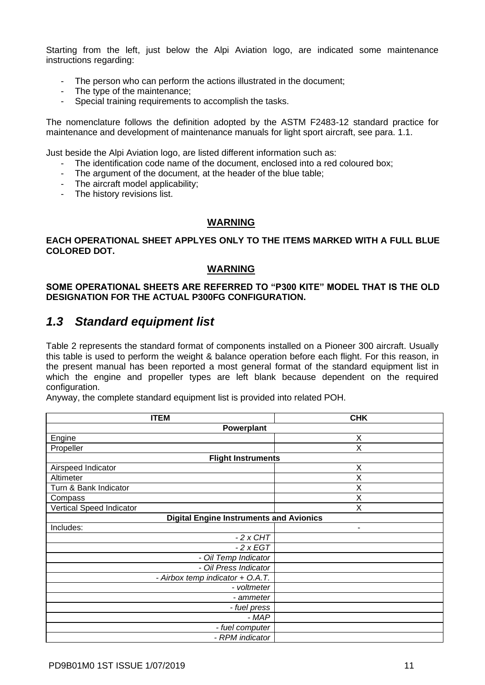Starting from the left, just below the Alpi Aviation logo, are indicated some maintenance instructions regarding:

- The person who can perform the actions illustrated in the document;
- The type of the maintenance;
- Special training requirements to accomplish the tasks.

The nomenclature follows the definition adopted by the ASTM F2483-12 standard practice for maintenance and development of maintenance manuals for light sport aircraft, see para. 1.1.

Just beside the Alpi Aviation logo, are listed different information such as:

- The identification code name of the document, enclosed into a red coloured box;
- The argument of the document, at the header of the blue table;
- The aircraft model applicability;
- The history revisions list.

#### **WARNING**

#### **EACH OPERATIONAL SHEET APPLYES ONLY TO THE ITEMS MARKED WITH A FULL BLUE COLORED DOT.**

#### **WARNING**

#### **SOME OPERATIONAL SHEETS ARE REFERRED TO "P300 KITE" MODEL THAT IS THE OLD DESIGNATION FOR THE ACTUAL P300FG CONFIGURATION.**

### <span id="page-12-0"></span>*1.3 Standard equipment list*

[Table 2](#page-13-4) represents the standard format of components installed on a Pioneer 300 aircraft. Usually this table is used to perform the weight & balance operation before each flight. For this reason, in the present manual has been reported a most general format of the standard equipment list in which the engine and propeller types are left blank because dependent on the required configuration.

Anyway, the complete standard equipment list is provided into related POH.

| <b>ITEM</b>                                    | <b>CHK</b> |  |
|------------------------------------------------|------------|--|
| Powerplant                                     |            |  |
| Engine                                         | X          |  |
| Propeller                                      | X          |  |
| <b>Flight Instruments</b>                      |            |  |
| Airspeed Indicator                             | X          |  |
| Altimeter                                      | X          |  |
| Turn & Bank Indicator                          | Χ          |  |
| Compass                                        | Χ          |  |
| Vertical Speed Indicator                       | X          |  |
| <b>Digital Engine Instruments and Avionics</b> |            |  |
| Includes:                                      | ٠          |  |
| $-2$ x CHT                                     |            |  |
| $-2xEGT$                                       |            |  |
| - Oil Temp Indicator                           |            |  |
| - Oil Press Indicator                          |            |  |
| - Airbox temp indicator + O.A.T.               |            |  |
| - voltmeter                                    |            |  |
| - ammeter                                      |            |  |
| - fuel press                                   |            |  |
| - MAP                                          |            |  |
| - fuel computer                                |            |  |
| - RPM indicator                                |            |  |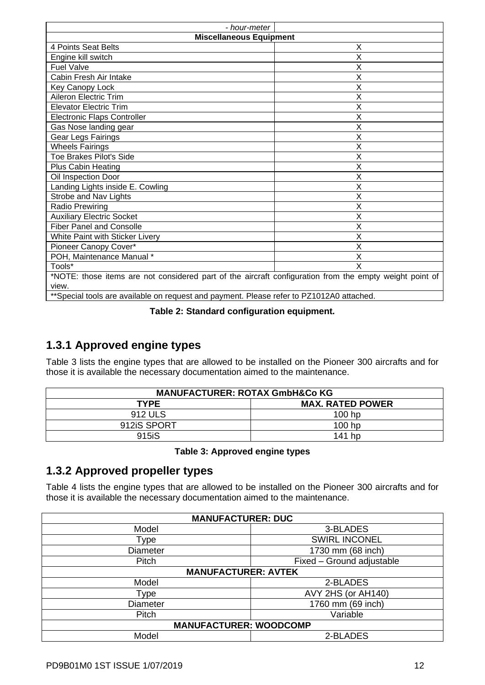| - hour-meter                                                                                            |             |  |
|---------------------------------------------------------------------------------------------------------|-------------|--|
| <b>Miscellaneous Equipment</b>                                                                          |             |  |
| 4 Points Seat Belts                                                                                     | X           |  |
| Engine kill switch                                                                                      | X           |  |
| <b>Fuel Valve</b>                                                                                       | X           |  |
| Cabin Fresh Air Intake                                                                                  | $\mathsf X$ |  |
| Key Canopy Lock                                                                                         | X           |  |
| Aileron Electric Trim                                                                                   | X           |  |
| <b>Elevator Electric Trim</b>                                                                           | X           |  |
| <b>Electronic Flaps Controller</b>                                                                      | X           |  |
| Gas Nose landing gear                                                                                   | Χ           |  |
| Gear Legs Fairings                                                                                      | X           |  |
| <b>Wheels Fairings</b>                                                                                  | X           |  |
| Toe Brakes Pilot's Side                                                                                 | Χ           |  |
| <b>Plus Cabin Heating</b>                                                                               | X           |  |
| Oil Inspection Door                                                                                     | X           |  |
| Landing Lights inside E. Cowling                                                                        | Χ           |  |
| Strobe and Nav Lights                                                                                   | X           |  |
| Radio Prewiring                                                                                         | X           |  |
| <b>Auxiliary Electric Socket</b>                                                                        | X           |  |
| X<br><b>Fiber Panel and Consolle</b>                                                                    |             |  |
| White Paint with Sticker Livery<br>X                                                                    |             |  |
| Pioneer Canopy Cover*                                                                                   | X           |  |
| POH, Maintenance Manual *                                                                               | X           |  |
| Tools*                                                                                                  | X           |  |
| *NOTE: those items are not considered part of the aircraft configuration from the empty weight point of |             |  |
| view.                                                                                                   |             |  |
| **Special tools are available on request and payment. Please refer to PZ1012A0 attached.                |             |  |

#### **Table 2: Standard configuration equipment.**

### <span id="page-13-4"></span><span id="page-13-2"></span><span id="page-13-0"></span>**1.3.1 Approved engine types**

[Table 3](#page-13-5) lists the engine types that are allowed to be installed on the Pioneer 300 aircrafts and for those it is available the necessary documentation aimed to the maintenance.

| <b>MANUFACTURER: ROTAX GmbH&amp;Co KG</b> |                         |  |
|-------------------------------------------|-------------------------|--|
| <b>TYPE</b>                               | <b>MAX. RATED POWER</b> |  |
| 912 ULS                                   | $100$ hp                |  |
| 912iS SPORT                               | 100 hp                  |  |
| 915 <sub>i</sub> S                        | 141 hp                  |  |

#### **Table 3: Approved engine types**

#### <span id="page-13-5"></span><span id="page-13-3"></span><span id="page-13-1"></span>**1.3.2 Approved propeller types**

[Table 4](#page-14-6) lists the engine types that are allowed to be installed on the Pioneer 300 aircrafts and for those it is available the necessary documentation aimed to the maintenance.

| <b>MANUFACTURER: DUC</b>      |                           |  |
|-------------------------------|---------------------------|--|
| Model                         | 3-BLADES                  |  |
| Type                          | <b>SWIRL INCONEL</b>      |  |
| <b>Diameter</b>               | 1730 mm (68 inch)         |  |
| Pitch                         | Fixed - Ground adjustable |  |
| <b>MANUFACTURER: AVTEK</b>    |                           |  |
| Model                         | 2-BLADES                  |  |
| Type                          | AVY 2HS (or AH140)        |  |
| <b>Diameter</b>               | 1760 mm (69 inch)         |  |
| Pitch                         | Variable                  |  |
| <b>MANUFACTURER: WOODCOMP</b> |                           |  |
| Model                         | 2-BLADES                  |  |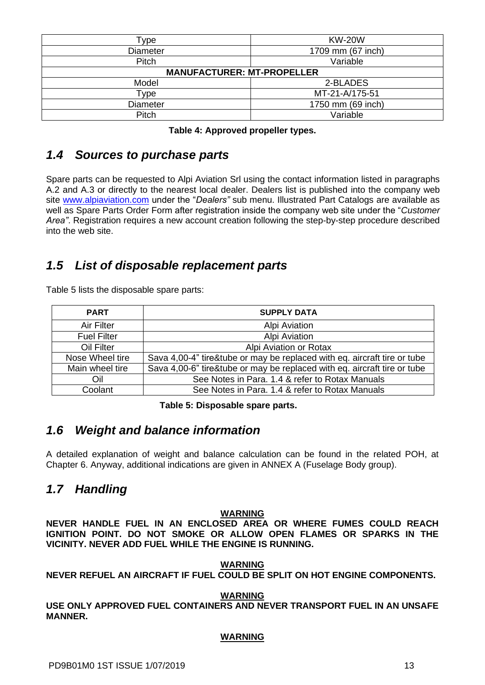| Type                              | <b>KW-20W</b>     |
|-----------------------------------|-------------------|
| <b>Diameter</b>                   | 1709 mm (67 inch) |
| Pitch                             | Variable          |
| <b>MANUFACTURER: MT-PROPELLER</b> |                   |
| Model                             | 2-BLADES          |
| Type                              | MT-21-A/175-51    |
| <b>Diameter</b>                   | 1750 mm (69 inch) |
| Pitch                             | Variable          |
|                                   |                   |

### <span id="page-14-6"></span><span id="page-14-4"></span><span id="page-14-0"></span>*1.4 Sources to purchase parts*

Spare parts can be requested to Alpi Aviation Srl using the contact information listed in paragraphs A.2 and A.3 or directly to the nearest local dealer. Dealers list is published into the company web site [www.alpiaviation.com](http://www.alpiaviation.com/) under the "*Dealers"* sub menu. Illustrated Part Catalogs are available as well as Spare Parts Order Form after registration inside the company web site under the "*Customer Area"*. Registration requires a new account creation following the step-by-step procedure described into the web site.

### <span id="page-14-1"></span>*1.5 List of disposable replacement parts*

[Table 5](#page-14-7) lists the disposable spare parts:

| <b>PART</b>        | <b>SUPPLY DATA</b>                                                       |
|--------------------|--------------------------------------------------------------------------|
| Air Filter         | <b>Alpi Aviation</b>                                                     |
| <b>Fuel Filter</b> | <b>Alpi Aviation</b>                                                     |
| Oil Filter         | Alpi Aviation or Rotax                                                   |
| Nose Wheel tire    | Sava 4,00-4" tire&tube or may be replaced with eq. aircraft tire or tube |
| Main wheel tire    | Sava 4,00-6" tire&tube or may be replaced with eq. aircraft tire or tube |
| Oil                | See Notes in Para. 1.4 & refer to Rotax Manuals                          |
| Coolant            | See Notes in Para. 1.4 & refer to Rotax Manuals                          |

**Table 5: Disposable spare parts.**

### <span id="page-14-7"></span><span id="page-14-5"></span><span id="page-14-2"></span>*1.6 Weight and balance information*

A detailed explanation of weight and balance calculation can be found in the related POH, at Chapter 6. Anyway, additional indications are given in ANNEX A (Fuselage Body group).

### <span id="page-14-3"></span>*1.7 Handling*

#### **WARNING**

**NEVER HANDLE FUEL IN AN ENCLOSED AREA OR WHERE FUMES COULD REACH IGNITION POINT. DO NOT SMOKE OR ALLOW OPEN FLAMES OR SPARKS IN THE VICINITY. NEVER ADD FUEL WHILE THE ENGINE IS RUNNING.**

#### **WARNING**

#### **NEVER REFUEL AN AIRCRAFT IF FUEL COULD BE SPLIT ON HOT ENGINE COMPONENTS.**

#### **WARNING**

**USE ONLY APPROVED FUEL CONTAINERS AND NEVER TRANSPORT FUEL IN AN UNSAFE MANNER.**

#### **WARNING**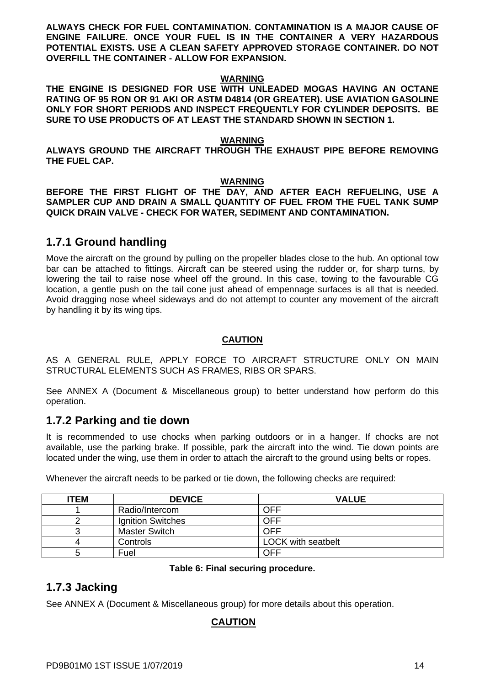**ALWAYS CHECK FOR FUEL CONTAMINATION. CONTAMINATION IS A MAJOR CAUSE OF ENGINE FAILURE. ONCE YOUR FUEL IS IN THE CONTAINER A VERY HAZARDOUS POTENTIAL EXISTS. USE A CLEAN SAFETY APPROVED STORAGE CONTAINER. DO NOT OVERFILL THE CONTAINER - ALLOW FOR EXPANSION.** 

#### **WARNING**

**THE ENGINE IS DESIGNED FOR USE WITH UNLEADED MOGAS HAVING AN OCTANE RATING OF 95 RON OR 91 AKI OR ASTM D4814 (OR GREATER). USE AVIATION GASOLINE ONLY FOR SHORT PERIODS AND INSPECT FREQUENTLY FOR CYLINDER DEPOSITS. BE SURE TO USE PRODUCTS OF AT LEAST THE STANDARD SHOWN IN SECTION 1.**

#### **WARNING**

**ALWAYS GROUND THE AIRCRAFT THROUGH THE EXHAUST PIPE BEFORE REMOVING THE FUEL CAP.**

#### **WARNING**

**BEFORE THE FIRST FLIGHT OF THE DAY, AND AFTER EACH REFUELING, USE A SAMPLER CUP AND DRAIN A SMALL QUANTITY OF FUEL FROM THE FUEL TANK SUMP QUICK DRAIN VALVE - CHECK FOR WATER, SEDIMENT AND CONTAMINATION.**

#### <span id="page-15-0"></span>**1.7.1 Ground handling**

Move the aircraft on the ground by pulling on the propeller blades close to the hub. An optional tow bar can be attached to fittings. Aircraft can be steered using the rudder or, for sharp turns, by lowering the tail to raise nose wheel off the ground. In this case, towing to the favourable CG location, a gentle push on the tail cone just ahead of empennage surfaces is all that is needed. Avoid dragging nose wheel sideways and do not attempt to counter any movement of the aircraft by handling it by its wing tips.

#### **CAUTION**

AS A GENERAL RULE, APPLY FORCE TO AIRCRAFT STRUCTURE ONLY ON MAIN STRUCTURAL ELEMENTS SUCH AS FRAMES, RIBS OR SPARS.

See ANNEX A (Document & Miscellaneous group) to better understand how perform do this operation.

#### <span id="page-15-1"></span>**1.7.2 Parking and tie down**

It is recommended to use chocks when parking outdoors or in a hanger. If chocks are not available, use the parking brake. If possible, park the aircraft into the wind. Tie down points are located under the wing, use them in order to attach the aircraft to the ground using belts or ropes.

| <b>ITEM</b> | <b>DEVICE</b>            | <b>VALUE</b>              |
|-------------|--------------------------|---------------------------|
|             | Radio/Intercom           | OFF                       |
|             | <b>Ignition Switches</b> | OFF                       |
|             | <b>Master Switch</b>     | OFF                       |
| 4           | Controls                 | <b>LOCK with seatbelt</b> |
| G           | Fuel                     | OFF                       |

Whenever the aircraft needs to be parked or tie down, the following checks are required:

#### **Table 6: Final securing procedure.**

#### <span id="page-15-3"></span><span id="page-15-2"></span>**1.7.3 Jacking**

See ANNEX A (Document & Miscellaneous group) for more details about this operation.

#### **CAUTION**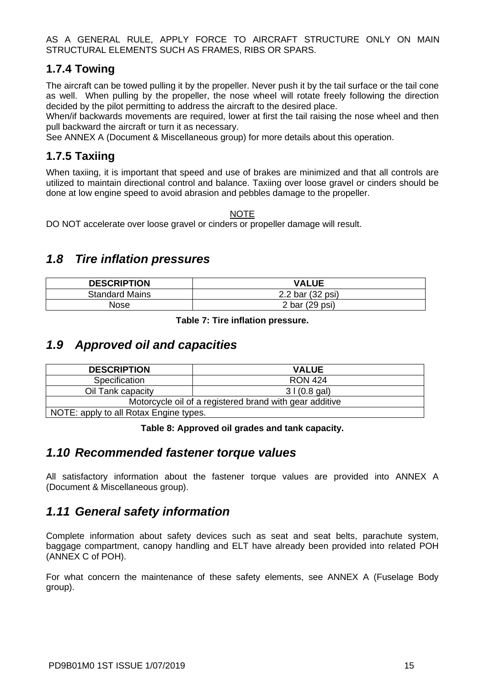AS A GENERAL RULE, APPLY FORCE TO AIRCRAFT STRUCTURE ONLY ON MAIN STRUCTURAL ELEMENTS SUCH AS FRAMES, RIBS OR SPARS.

#### <span id="page-16-0"></span>**1.7.4 Towing**

The aircraft can be towed pulling it by the propeller. Never push it by the tail surface or the tail cone as well. When pulling by the propeller, the nose wheel will rotate freely following the direction decided by the pilot permitting to address the aircraft to the desired place.

When/if backwards movements are required, lower at first the tail raising the nose wheel and then pull backward the aircraft or turn it as necessary.

See ANNEX A (Document & Miscellaneous group) for more details about this operation.

### <span id="page-16-1"></span>**1.7.5 Taxiing**

When taxiing, it is important that speed and use of brakes are minimized and that all controls are utilized to maintain directional control and balance. Taxiing over loose gravel or cinders should be done at low engine speed to avoid abrasion and pebbles damage to the propeller.

NOTE

DO NOT accelerate over loose gravel or cinders or propeller damage will result.

### <span id="page-16-2"></span>*1.8 Tire inflation pressures*

| <b>DESCRIPTION</b>    | <b>VALUE</b>     |
|-----------------------|------------------|
| <b>Standard Mains</b> | 2.2 bar (32 psi) |
| Nose                  | 2 bar (29 psi)   |

**Table 7: Tire inflation pressure.**

### <span id="page-16-6"></span><span id="page-16-3"></span>*1.9 Approved oil and capacities*

| <b>DESCRIPTION</b>                     | <b>VALUE</b>                                            |
|----------------------------------------|---------------------------------------------------------|
| Specification                          | <b>RON 424</b>                                          |
| Oil Tank capacity                      | 31(0.8 gal)                                             |
|                                        | Motorcycle oil of a registered brand with gear additive |
| NOTE: apply to all Rotax Engine types. |                                                         |

#### **Table 8: Approved oil grades and tank capacity.**

#### <span id="page-16-7"></span><span id="page-16-4"></span>*1.10 Recommended fastener torque values*

All satisfactory information about the fastener torque values are provided into ANNEX A (Document & Miscellaneous group).

### <span id="page-16-5"></span>*1.11 General safety information*

Complete information about safety devices such as seat and seat belts, parachute system, baggage compartment, canopy handling and ELT have already been provided into related POH (ANNEX C of POH).

For what concern the maintenance of these safety elements, see ANNEX A (Fuselage Body group).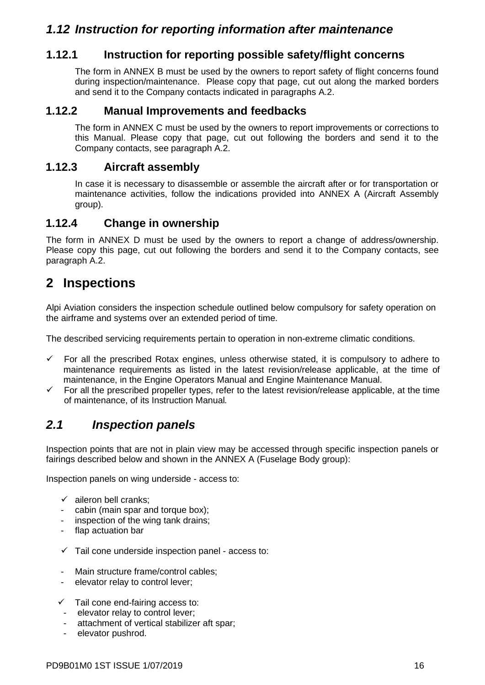### <span id="page-17-0"></span>*1.12 Instruction for reporting information after maintenance*

#### <span id="page-17-1"></span>**1.12.1 Instruction for reporting possible safety/flight concerns**

The form in ANNEX B must be used by the owners to report safety of flight concerns found during inspection/maintenance. Please copy that page, cut out along the marked borders and send it to the Company contacts indicated in paragraphs A.2.

#### <span id="page-17-2"></span>**1.12.2 Manual Improvements and feedbacks**

The form in ANNEX C must be used by the owners to report improvements or corrections to this Manual. Please copy that page, cut out following the borders and send it to the Company contacts, see paragraph A.2.

#### <span id="page-17-3"></span>**1.12.3 Aircraft assembly**

In case it is necessary to disassemble or assemble the aircraft after or for transportation or maintenance activities, follow the indications provided into ANNEX A (Aircraft Assembly group).

#### <span id="page-17-4"></span>**1.12.4 Change in ownership**

The form in ANNEX D must be used by the owners to report a change of address/ownership. Please copy this page, cut out following the borders and send it to the Company contacts, see paragraph A.2.

## <span id="page-17-5"></span>**2 Inspections**

Alpi Aviation considers the inspection schedule outlined below compulsory for safety operation on the airframe and systems over an extended period of time.

The described servicing requirements pertain to operation in non-extreme climatic conditions.

- $\checkmark$  For all the prescribed Rotax engines, unless otherwise stated, it is compulsory to adhere to maintenance requirements as listed in the latest revision/release applicable, at the time of maintenance, in the Engine Operators Manual and Engine Maintenance Manual.
- $\checkmark$  For all the prescribed propeller types, refer to the latest revision/release applicable, at the time of maintenance, of its Instruction Manual*.*

### <span id="page-17-6"></span>*2.1 Inspection panels*

Inspection points that are not in plain view may be accessed through specific inspection panels or fairings described below and shown in the ANNEX A (Fuselage Body group):

Inspection panels on wing underside - access to:

- $\checkmark$  aileron bell cranks;
- cabin (main spar and torque box);
- inspection of the wing tank drains;
- flap actuation bar
- $\checkmark$  Tail cone underside inspection panel access to:
- Main structure frame/control cables;
- elevator relay to control lever;
- ✓ Tail cone end-fairing access to:
- elevator relay to control lever;
- attachment of vertical stabilizer aft spar;
- elevator pushrod.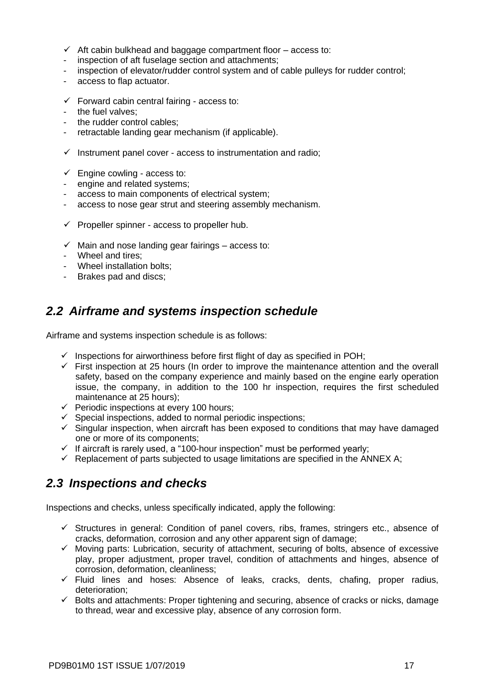- $\checkmark$  Aft cabin bulkhead and baggage compartment floor access to:
- inspection of aft fuselage section and attachments;
- inspection of elevator/rudder control system and of cable pulleys for rudder control;
- access to flap actuator.
- $\checkmark$  Forward cabin central fairing access to:
- the fuel valves:
- the rudder control cables;
- retractable landing gear mechanism (if applicable).
- $\checkmark$  Instrument panel cover access to instrumentation and radio;
- $\checkmark$  Engine cowling access to:
- engine and related systems;
- access to main components of electrical system;
- access to nose gear strut and steering assembly mechanism.
- $\checkmark$  Propeller spinner access to propeller hub.
- $\checkmark$  Main and nose landing gear fairings access to:
- Wheel and tires;
- Wheel installation bolts;
- Brakes pad and discs;

### <span id="page-18-0"></span>*2.2 Airframe and systems inspection schedule*

Airframe and systems inspection schedule is as follows:

- $\checkmark$  Inspections for airworthiness before first flight of day as specified in POH;
- $\checkmark$  First inspection at 25 hours (In order to improve the maintenance attention and the overall safety, based on the company experience and mainly based on the engine early operation issue, the company, in addition to the 100 hr inspection, requires the first scheduled maintenance at 25 hours);
- $\checkmark$  Periodic inspections at every 100 hours;
- $\checkmark$  Special inspections, added to normal periodic inspections;
- $\checkmark$  Singular inspection, when aircraft has been exposed to conditions that may have damaged one or more of its components;
- $\checkmark$  If aircraft is rarely used, a "100-hour inspection" must be performed yearly;
- $\checkmark$  Replacement of parts subjected to usage limitations are specified in the ANNEX A;

### <span id="page-18-1"></span>*2.3 Inspections and checks*

Inspections and checks, unless specifically indicated, apply the following:

- $\checkmark$  Structures in general: Condition of panel covers, ribs, frames, stringers etc., absence of cracks, deformation, corrosion and any other apparent sign of damage;
- ✓ Moving parts: Lubrication, security of attachment, securing of bolts, absence of excessive play, proper adjustment, proper travel, condition of attachments and hinges, absence of corrosion, deformation, cleanliness;
- ✓ Fluid lines and hoses: Absence of leaks, cracks, dents, chafing, proper radius, deterioration;
- ✓ Bolts and attachments: Proper tightening and securing, absence of cracks or nicks, damage to thread, wear and excessive play, absence of any corrosion form.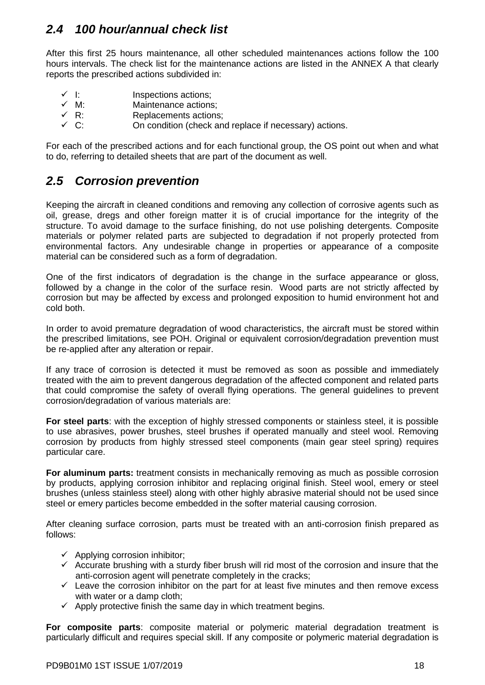### <span id="page-19-0"></span>*2.4 100 hour/annual check list*

After this first 25 hours maintenance, all other scheduled maintenances actions follow the 100 hours intervals. The check list for the maintenance actions are listed in the ANNEX A that clearly reports the prescribed actions subdivided in:

- ✓ I: Inspections actions;
- ✓ M: Maintenance actions;
- Replacements actions;
- $\checkmark$  C:  $\checkmark$  C:  $\checkmark$  On condition (check and replace if necessary) actions.

For each of the prescribed actions and for each functional group, the OS point out when and what to do, referring to detailed sheets that are part of the document as well.

### <span id="page-19-1"></span>*2.5 Corrosion prevention*

Keeping the aircraft in cleaned conditions and removing any collection of corrosive agents such as oil, grease, dregs and other foreign matter it is of crucial importance for the integrity of the structure. To avoid damage to the surface finishing, do not use polishing detergents. Composite materials or polymer related parts are subjected to degradation if not properly protected from environmental factors. Any undesirable change in properties or appearance of a composite material can be considered such as a form of degradation.

One of the first indicators of degradation is the change in the surface appearance or gloss, followed by a change in the color of the surface resin. Wood parts are not strictly affected by corrosion but may be affected by excess and prolonged exposition to humid environment hot and cold both.

In order to avoid premature degradation of wood characteristics, the aircraft must be stored within the prescribed limitations, see POH. Original or equivalent corrosion/degradation prevention must be re-applied after any alteration or repair.

If any trace of corrosion is detected it must be removed as soon as possible and immediately treated with the aim to prevent dangerous degradation of the affected component and related parts that could compromise the safety of overall flying operations. The general guidelines to prevent corrosion/degradation of various materials are:

**For steel parts**: with the exception of highly stressed components or stainless steel, it is possible to use abrasives, power brushes, steel brushes if operated manually and steel wool. Removing corrosion by products from highly stressed steel components (main gear steel spring) requires particular care.

**For aluminum parts:** treatment consists in mechanically removing as much as possible corrosion by products, applying corrosion inhibitor and replacing original finish. Steel wool, emery or steel brushes (unless stainless steel) along with other highly abrasive material should not be used since steel or emery particles become embedded in the softer material causing corrosion.

After cleaning surface corrosion, parts must be treated with an anti-corrosion finish prepared as follows:

- $\checkmark$  Applying corrosion inhibitor;
- $\checkmark$  Accurate brushing with a sturdy fiber brush will rid most of the corrosion and insure that the anti-corrosion agent will penetrate completely in the cracks;
- $\checkmark$  Leave the corrosion inhibitor on the part for at least five minutes and then remove excess with water or a damp cloth:
- $\checkmark$  Apply protective finish the same day in which treatment begins.

**For composite parts**: composite material or polymeric material degradation treatment is particularly difficult and requires special skill. If any composite or polymeric material degradation is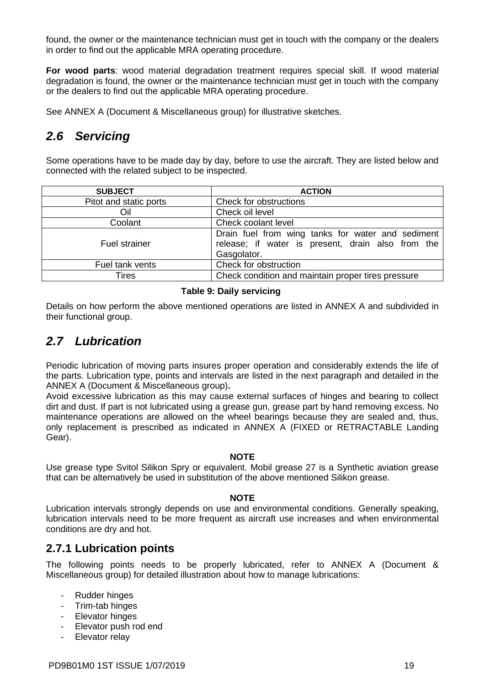found, the owner or the maintenance technician must get in touch with the company or the dealers in order to find out the applicable MRA operating procedure.

**For wood parts**: wood material degradation treatment requires special skill. If wood material degradation is found, the owner or the maintenance technician must get in touch with the company or the dealers to find out the applicable MRA operating procedure.

<span id="page-20-0"></span>See ANNEX A (Document & Miscellaneous group) for illustrative sketches.

### *2.6 Servicing*

Some operations have to be made day by day, before to use the aircraft. They are listed below and connected with the related subject to be inspected.

| <b>SUBJECT</b>         | <b>ACTION</b>                                                                                                         |  |
|------------------------|-----------------------------------------------------------------------------------------------------------------------|--|
| Pitot and static ports | Check for obstructions                                                                                                |  |
| Oil                    | Check oil level                                                                                                       |  |
| Coolant                | Check coolant level                                                                                                   |  |
| <b>Fuel strainer</b>   | Drain fuel from wing tanks for water and sediment<br>release; if water is present, drain also from the<br>Gasgolator. |  |
| Fuel tank vents        | Check for obstruction                                                                                                 |  |
| Tires                  | Check condition and maintain proper tires pressure                                                                    |  |

#### **Table 9: Daily servicing**

<span id="page-20-3"></span>Details on how perform the above mentioned operations are listed in ANNEX A and subdivided in their functional group.

### <span id="page-20-1"></span>*2.7 Lubrication*

Periodic lubrication of moving parts insures proper operation and considerably extends the life of the parts. Lubrication type, points and intervals are listed in the next paragraph and detailed in the ANNEX A (Document & Miscellaneous group)**.**

Avoid excessive lubrication as this may cause external surfaces of hinges and bearing to collect dirt and dust. If part is not lubricated using a grease gun, grease part by hand removing excess. No maintenance operations are allowed on the wheel bearings because they are sealed and, thus, only replacement is prescribed as indicated in ANNEX A (FIXED or RETRACTABLE Landing Gear).

#### **NOTE**

Use grease type Svitol Silikon Spry or equivalent. Mobil grease 27 is a Synthetic aviation grease that can be alternatively be used in substitution of the above mentioned Silikon grease.

#### **NOTE**

Lubrication intervals strongly depends on use and environmental conditions. Generally speaking, lubrication intervals need to be more frequent as aircraft use increases and when environmental conditions are dry and hot.

#### <span id="page-20-2"></span>**2.7.1 Lubrication points**

The following points needs to be properly lubricated, refer to ANNEX A (Document & Miscellaneous group) for detailed illustration about how to manage lubrications:

- Rudder hinges
- Trim-tab hinges
- Elevator hinges
- Elevator push rod end
- Elevator relay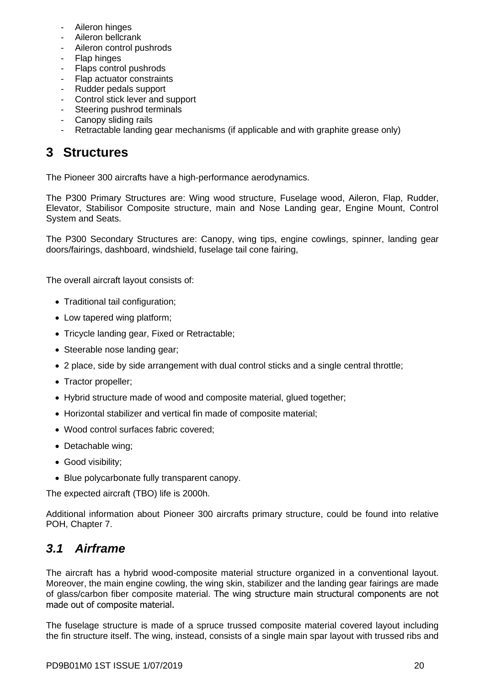- Aileron hinges
- Aileron bellcrank
- Aileron control pushrods
- Flap hinges
- Flaps control pushrods
- Flap actuator constraints
- Rudder pedals support
- Control stick lever and support
- Steering pushrod terminals
- Canopy sliding rails
- Retractable landing gear mechanisms (if applicable and with graphite grease only)

# <span id="page-21-0"></span>**3 Structures**

The Pioneer 300 aircrafts have a high-performance aerodynamics.

The P300 Primary Structures are: Wing wood structure, Fuselage wood, Aileron, Flap, Rudder, Elevator, Stabilisor Composite structure, main and Nose Landing gear, Engine Mount, Control System and Seats.

The P300 Secondary Structures are: Canopy, wing tips, engine cowlings, spinner, landing gear doors/fairings, dashboard, windshield, fuselage tail cone fairing,

The overall aircraft layout consists of:

- Traditional tail configuration;
- Low tapered wing platform;
- Tricycle landing gear, Fixed or Retractable;
- Steerable nose landing gear;
- 2 place, side by side arrangement with dual control sticks and a single central throttle;
- Tractor propeller;
- Hybrid structure made of wood and composite material, glued together;
- Horizontal stabilizer and vertical fin made of composite material;
- Wood control surfaces fabric covered;
- Detachable wing;
- Good visibility;
- Blue polycarbonate fully transparent canopy.

The expected aircraft (TBO) life is 2000h.

Additional information about Pioneer 300 aircrafts primary structure, could be found into relative POH, Chapter 7.

### <span id="page-21-1"></span>*3.1 Airframe*

The aircraft has a hybrid wood-composite material structure organized in a conventional layout. Moreover, the main engine cowling, the wing skin, stabilizer and the landing gear fairings are made of glass/carbon fiber composite material. The wing structure main structural components are not made out of composite material.

The fuselage structure is made of a spruce trussed composite material covered layout including the fin structure itself. The wing, instead, consists of a single main spar layout with trussed ribs and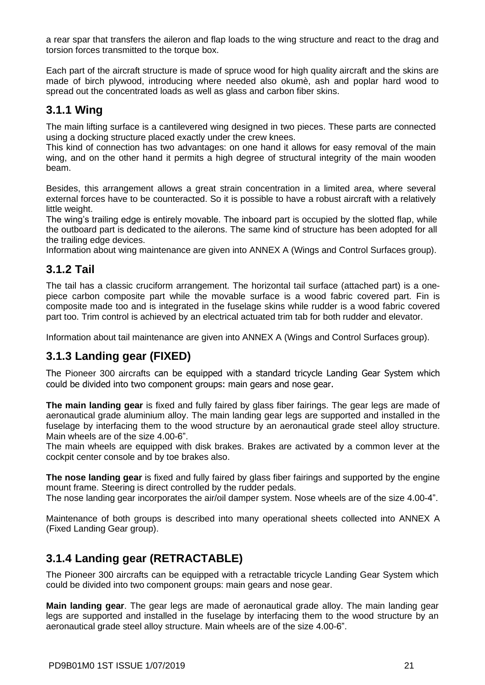a rear spar that transfers the aileron and flap loads to the wing structure and react to the drag and torsion forces transmitted to the torque box.

Each part of the aircraft structure is made of spruce wood for high quality aircraft and the skins are made of birch plywood, introducing where needed also okumè, ash and poplar hard wood to spread out the concentrated loads as well as glass and carbon fiber skins.

### <span id="page-22-0"></span>**3.1.1 Wing**

The main lifting surface is a cantilevered wing designed in two pieces. These parts are connected using a docking structure placed exactly under the crew knees.

This kind of connection has two advantages: on one hand it allows for easy removal of the main wing, and on the other hand it permits a high degree of structural integrity of the main wooden beam.

Besides, this arrangement allows a great strain concentration in a limited area, where several external forces have to be counteracted. So it is possible to have a robust aircraft with a relatively little weight.

The wing's trailing edge is entirely movable. The inboard part is occupied by the slotted flap, while the outboard part is dedicated to the ailerons. The same kind of structure has been adopted for all the trailing edge devices.

Information about wing maintenance are given into ANNEX A (Wings and Control Surfaces group).

#### <span id="page-22-1"></span>**3.1.2 Tail**

The tail has a classic cruciform arrangement. The horizontal tail surface (attached part) is a onepiece carbon composite part while the movable surface is a wood fabric covered part. Fin is composite made too and is integrated in the fuselage skins while rudder is a wood fabric covered part too. Trim control is achieved by an electrical actuated trim tab for both rudder and elevator.

Information about tail maintenance are given into ANNEX A (Wings and Control Surfaces group).

#### <span id="page-22-2"></span>**3.1.3 Landing gear (FIXED)**

The Pioneer 300 aircrafts can be equipped with a standard tricycle Landing Gear System which could be divided into two component groups: main gears and nose gear.

**The main landing gear** is fixed and fully faired by glass fiber fairings. The gear legs are made of aeronautical grade aluminium alloy. The main landing gear legs are supported and installed in the fuselage by interfacing them to the wood structure by an aeronautical grade steel alloy structure. Main wheels are of the size 4.00-6".

The main wheels are equipped with disk brakes. Brakes are activated by a common lever at the cockpit center console and by toe brakes also.

**The nose landing gear** is fixed and fully faired by glass fiber fairings and supported by the engine mount frame. Steering is direct controlled by the rudder pedals.

The nose landing gear incorporates the air/oil damper system. Nose wheels are of the size 4.00-4".

Maintenance of both groups is described into many operational sheets collected into ANNEX A (Fixed Landing Gear group).

### <span id="page-22-3"></span>**3.1.4 Landing gear (RETRACTABLE)**

The Pioneer 300 aircrafts can be equipped with a retractable tricycle Landing Gear System which could be divided into two component groups: main gears and nose gear.

**Main landing gear**. The gear legs are made of aeronautical grade alloy. The main landing gear legs are supported and installed in the fuselage by interfacing them to the wood structure by an aeronautical grade steel alloy structure. Main wheels are of the size 4.00-6".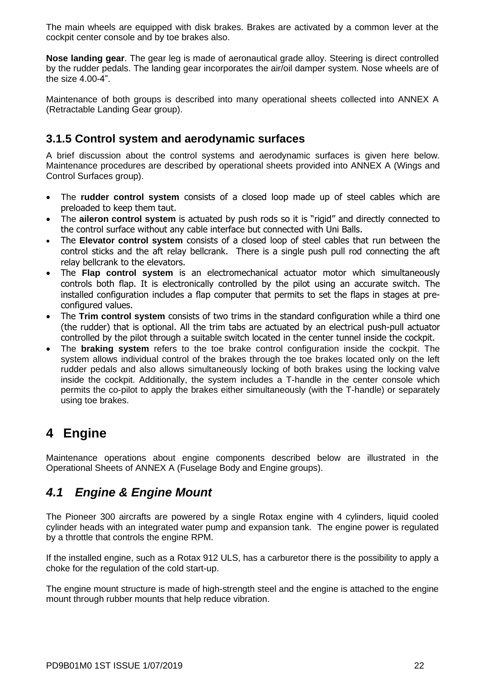The main wheels are equipped with disk brakes. Brakes are activated by a common lever at the cockpit center console and by toe brakes also.

**Nose landing gear**. The gear leg is made of aeronautical grade alloy. Steering is direct controlled by the rudder pedals. The landing gear incorporates the air/oil damper system. Nose wheels are of the size 4.00-4".

Maintenance of both groups is described into many operational sheets collected into ANNEX A (Retractable Landing Gear group).

### <span id="page-23-0"></span>**3.1.5 Control system and aerodynamic surfaces**

A brief discussion about the control systems and aerodynamic surfaces is given here below. Maintenance procedures are described by operational sheets provided into ANNEX A (Wings and Control Surfaces group).

- The **rudder control system** consists of a closed loop made up of steel cables which are preloaded to keep them taut.
- The **aileron control system** is actuated by push rods so it is "rigid" and directly connected to the control surface without any cable interface but connected with Uni Balls.
- The **Elevator control system** consists of a closed loop of steel cables that run between the control sticks and the aft relay bellcrank. There is a single push pull rod connecting the aft relay bellcrank to the elevators.
- The **Flap control system** is an electromechanical actuator motor which simultaneously controls both flap. It is electronically controlled by the pilot using an accurate switch. The installed configuration includes a flap computer that permits to set the flaps in stages at preconfigured values.
- The **Trim control system** consists of two trims in the standard configuration while a third one (the rudder) that is optional. All the trim tabs are actuated by an electrical push-pull actuator controlled by the pilot through a suitable switch located in the center tunnel inside the cockpit.
- The **braking system** refers to the toe brake control configuration inside the cockpit. The system allows individual control of the brakes through the toe brakes located only on the left rudder pedals and also allows simultaneously locking of both brakes using the locking valve inside the cockpit. Additionally, the system includes a T-handle in the center console which permits the co-pilot to apply the brakes either simultaneously (with the T-handle) or separately using toe brakes.

# <span id="page-23-1"></span>**4 Engine**

Maintenance operations about engine components described below are illustrated in the Operational Sheets of ANNEX A (Fuselage Body and Engine groups).

### <span id="page-23-2"></span>*4.1 Engine & Engine Mount*

The Pioneer 300 aircrafts are powered by a single Rotax engine with 4 cylinders, liquid cooled cylinder heads with an integrated water pump and expansion tank. The engine power is regulated by a throttle that controls the engine RPM.

If the installed engine, such as a Rotax 912 ULS, has a carburetor there is the possibility to apply a choke for the regulation of the cold start-up.

The engine mount structure is made of high-strength steel and the engine is attached to the engine mount through rubber mounts that help reduce vibration.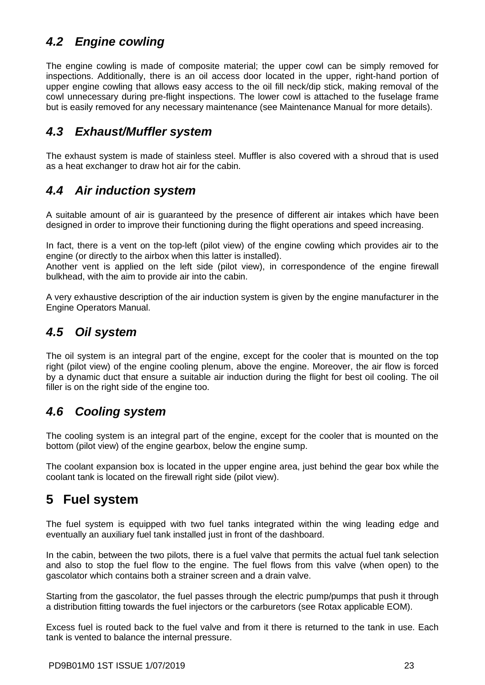### <span id="page-24-0"></span>*4.2 Engine cowling*

The engine cowling is made of composite material; the upper cowl can be simply removed for inspections. Additionally, there is an oil access door located in the upper, right-hand portion of upper engine cowling that allows easy access to the oil fill neck/dip stick, making removal of the cowl unnecessary during pre-flight inspections. The lower cowl is attached to the fuselage frame but is easily removed for any necessary maintenance (see Maintenance Manual for more details).

### <span id="page-24-1"></span>*4.3 Exhaust/Muffler system*

The exhaust system is made of stainless steel. Muffler is also covered with a shroud that is used as a heat exchanger to draw hot air for the cabin.

### <span id="page-24-2"></span>*4.4 Air induction system*

A suitable amount of air is guaranteed by the presence of different air intakes which have been designed in order to improve their functioning during the flight operations and speed increasing.

In fact, there is a vent on the top-left (pilot view) of the engine cowling which provides air to the engine (or directly to the airbox when this latter is installed).

Another vent is applied on the left side (pilot view), in correspondence of the engine firewall bulkhead, with the aim to provide air into the cabin.

A very exhaustive description of the air induction system is given by the engine manufacturer in the Engine Operators Manual.

### <span id="page-24-3"></span>*4.5 Oil system*

The oil system is an integral part of the engine, except for the cooler that is mounted on the top right (pilot view) of the engine cooling plenum, above the engine. Moreover, the air flow is forced by a dynamic duct that ensure a suitable air induction during the flight for best oil cooling. The oil filler is on the right side of the engine too.

### <span id="page-24-4"></span>*4.6 Cooling system*

The cooling system is an integral part of the engine, except for the cooler that is mounted on the bottom (pilot view) of the engine gearbox, below the engine sump.

The coolant expansion box is located in the upper engine area, just behind the gear box while the coolant tank is located on the firewall right side (pilot view).

# <span id="page-24-5"></span>**5 Fuel system**

The fuel system is equipped with two fuel tanks integrated within the wing leading edge and eventually an auxiliary fuel tank installed just in front of the dashboard.

In the cabin, between the two pilots, there is a fuel valve that permits the actual fuel tank selection and also to stop the fuel flow to the engine. The fuel flows from this valve (when open) to the gascolator which contains both a strainer screen and a drain valve.

Starting from the gascolator, the fuel passes through the electric pump/pumps that push it through a distribution fitting towards the fuel injectors or the carburetors (see Rotax applicable EOM).

Excess fuel is routed back to the fuel valve and from it there is returned to the tank in use. Each tank is vented to balance the internal pressure.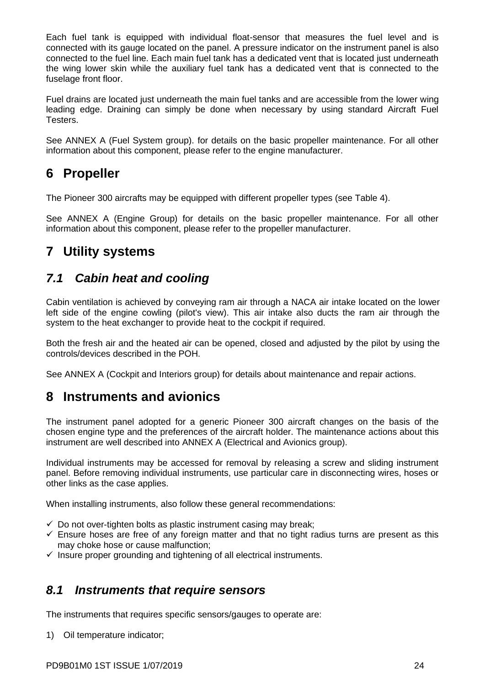Each fuel tank is equipped with individual float-sensor that measures the fuel level and is connected with its gauge located on the panel. A pressure indicator on the instrument panel is also connected to the fuel line. Each main fuel tank has a dedicated vent that is located just underneath the wing lower skin while the auxiliary fuel tank has a dedicated vent that is connected to the fuselage front floor.

Fuel drains are located just underneath the main fuel tanks and are accessible from the lower wing leading edge. Draining can simply be done when necessary by using standard Aircraft Fuel Testers.

See ANNEX A (Fuel System group). for details on the basic propeller maintenance. For all other information about this component, please refer to the engine manufacturer.

# <span id="page-25-0"></span>**6 Propeller**

The Pioneer 300 aircrafts may be equipped with different propeller types (see [Table 4\)](#page-14-6).

See ANNEX A (Engine Group) for details on the basic propeller maintenance. For all other information about this component, please refer to the propeller manufacturer.

# <span id="page-25-1"></span>**7 Utility systems**

### <span id="page-25-2"></span>*7.1 Cabin heat and cooling*

Cabin ventilation is achieved by conveying ram air through a NACA air intake located on the lower left side of the engine cowling (pilot's view). This air intake also ducts the ram air through the system to the heat exchanger to provide heat to the cockpit if required.

Both the fresh air and the heated air can be opened, closed and adjusted by the pilot by using the controls/devices described in the POH.

<span id="page-25-3"></span>See ANNEX A (Cockpit and Interiors group) for details about maintenance and repair actions.

# **8 Instruments and avionics**

The instrument panel adopted for a generic Pioneer 300 aircraft changes on the basis of the chosen engine type and the preferences of the aircraft holder. The maintenance actions about this instrument are well described into ANNEX A (Electrical and Avionics group).

Individual instruments may be accessed for removal by releasing a screw and sliding instrument panel. Before removing individual instruments, use particular care in disconnecting wires, hoses or other links as the case applies.

When installing instruments, also follow these general recommendations:

- $\checkmark$  Do not over-tighten bolts as plastic instrument casing may break;
- $\checkmark$  Ensure hoses are free of any foreign matter and that no tight radius turns are present as this may choke hose or cause malfunction;
- $\checkmark$  Insure proper grounding and tightening of all electrical instruments.

### <span id="page-25-4"></span>*8.1 Instruments that require sensors*

The instruments that requires specific sensors/gauges to operate are:

1) Oil temperature indicator;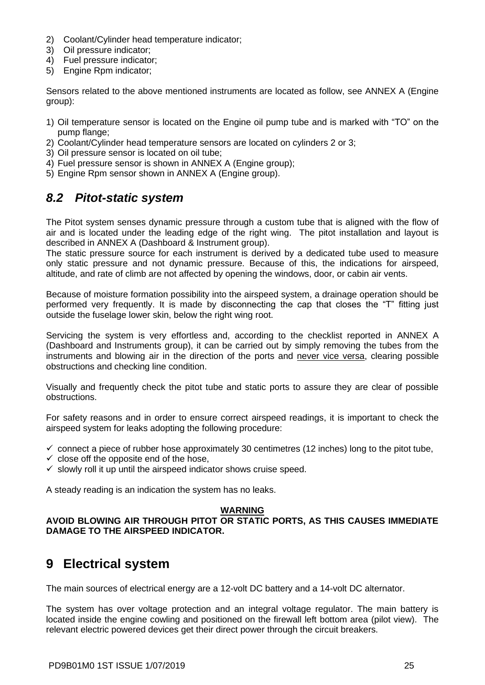- 2) Coolant/Cylinder head temperature indicator;
- 3) Oil pressure indicator;
- 4) Fuel pressure indicator;
- 5) Engine Rpm indicator;

Sensors related to the above mentioned instruments are located as follow, see ANNEX A (Engine group):

- 1) Oil temperature sensor is located on the Engine oil pump tube and is marked with "TO" on the pump flange;
- 2) Coolant/Cylinder head temperature sensors are located on cylinders 2 or 3;
- 3) Oil pressure sensor is located on oil tube;
- 4) Fuel pressure sensor is shown in ANNEX A (Engine group);
- <span id="page-26-0"></span>5) Engine Rpm sensor shown in ANNEX A (Engine group).

### *8.2 Pitot-static system*

The Pitot system senses dynamic pressure through a custom tube that is aligned with the flow of air and is located under the leading edge of the right wing. The pitot installation and layout is described in ANNEX A (Dashboard & Instrument group).

The static pressure source for each instrument is derived by a dedicated tube used to measure only static pressure and not dynamic pressure. Because of this, the indications for airspeed, altitude, and rate of climb are not affected by opening the windows, door, or cabin air vents.

Because of moisture formation possibility into the airspeed system, a drainage operation should be performed very frequently. It is made by disconnecting the cap that closes the "T" fitting just outside the fuselage lower skin, below the right wing root.

Servicing the system is very effortless and, according to the checklist reported in ANNEX A (Dashboard and Instruments group), it can be carried out by simply removing the tubes from the instruments and blowing air in the direction of the ports and never vice versa, clearing possible obstructions and checking line condition.

Visually and frequently check the pitot tube and static ports to assure they are clear of possible obstructions.

For safety reasons and in order to ensure correct airspeed readings, it is important to check the airspeed system for leaks adopting the following procedure:

- $\checkmark$  connect a piece of rubber hose approximately 30 centimetres (12 inches) long to the pitot tube,
- $\checkmark$  close off the opposite end of the hose,
- $\checkmark$  slowly roll it up until the airspeed indicator shows cruise speed.

A steady reading is an indication the system has no leaks.

#### **WARNING**

#### **AVOID BLOWING AIR THROUGH PITOT OR STATIC PORTS, AS THIS CAUSES IMMEDIATE DAMAGE TO THE AIRSPEED INDICATOR.**

### <span id="page-26-1"></span>**9 Electrical system**

The main sources of electrical energy are a 12-volt DC battery and a 14-volt DC alternator.

The system has over voltage protection and an integral voltage regulator. The main battery is located inside the engine cowling and positioned on the firewall left bottom area (pilot view). The relevant electric powered devices get their direct power through the circuit breakers.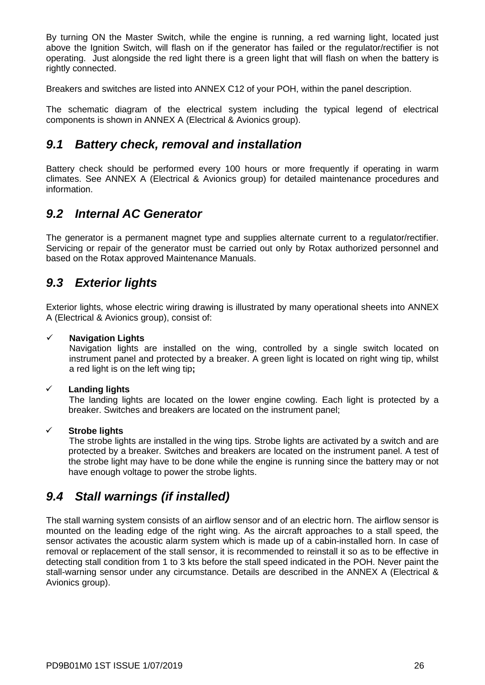By turning ON the Master Switch, while the engine is running, a red warning light, located just above the Ignition Switch, will flash on if the generator has failed or the regulator/rectifier is not operating. Just alongside the red light there is a green light that will flash on when the battery is rightly connected.

Breakers and switches are listed into ANNEX C12 of your POH, within the panel description.

The schematic diagram of the electrical system including the typical legend of electrical components is shown in ANNEX A (Electrical & Avionics group).

### <span id="page-27-0"></span>*9.1 Battery check, removal and installation*

Battery check should be performed every 100 hours or more frequently if operating in warm climates. See ANNEX A (Electrical & Avionics group) for detailed maintenance procedures and information.

### <span id="page-27-1"></span>*9.2 Internal AC Generator*

The generator is a permanent magnet type and supplies alternate current to a regulator/rectifier. Servicing or repair of the generator must be carried out only by Rotax authorized personnel and based on the Rotax approved Maintenance Manuals.

### <span id="page-27-2"></span>*9.3 Exterior lights*

Exterior lights, whose electric wiring drawing is illustrated by many operational sheets into ANNEX A (Electrical & Avionics group), consist of:

#### ✓ **Navigation Lights**

Navigation lights are installed on the wing, controlled by a single switch located on instrument panel and protected by a breaker. A green light is located on right wing tip, whilst a red light is on the left wing tip**;**

#### ✓ **Landing lights**

The landing lights are located on the lower engine cowling. Each light is protected by a breaker. Switches and breakers are located on the instrument panel;

#### ✓ **Strobe lights**

The strobe lights are installed in the wing tips. Strobe lights are activated by a switch and are protected by a breaker. Switches and breakers are located on the instrument panel. A test of the strobe light may have to be done while the engine is running since the battery may or not have enough voltage to power the strobe lights.

### <span id="page-27-3"></span>*9.4 Stall warnings (if installed)*

The stall warning system consists of an airflow sensor and of an electric horn. The airflow sensor is mounted on the leading edge of the right wing. As the aircraft approaches to a stall speed, the sensor activates the acoustic alarm system which is made up of a cabin-installed horn. In case of removal or replacement of the stall sensor, it is recommended to reinstall it so as to be effective in detecting stall condition from 1 to 3 kts before the stall speed indicated in the POH. Never paint the stall-warning sensor under any circumstance. Details are described in the ANNEX A (Electrical & Avionics group).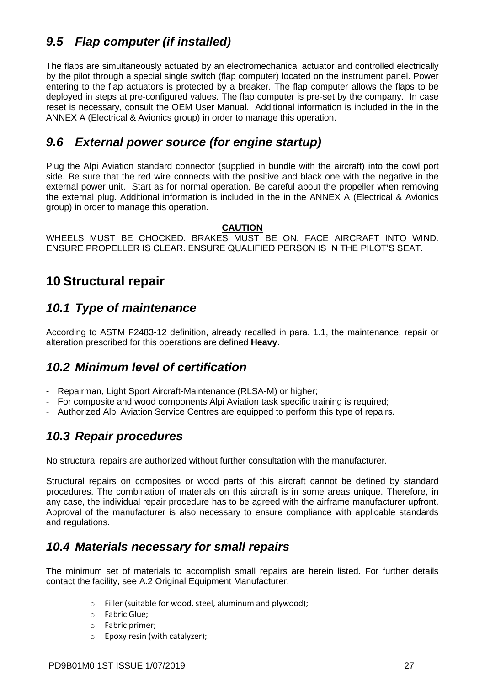### <span id="page-28-0"></span>*9.5 Flap computer (if installed)*

The flaps are simultaneously actuated by an electromechanical actuator and controlled electrically by the pilot through a special single switch (flap computer) located on the instrument panel. Power entering to the flap actuators is protected by a breaker. The flap computer allows the flaps to be deployed in steps at pre-configured values. The flap computer is pre-set by the company. In case reset is necessary, consult the OEM User Manual. Additional information is included in the in the ANNEX A (Electrical & Avionics group) in order to manage this operation.

### <span id="page-28-1"></span>*9.6 External power source (for engine startup)*

Plug the Alpi Aviation standard connector (supplied in bundle with the aircraft) into the cowl port side. Be sure that the red wire connects with the positive and black one with the negative in the external power unit. Start as for normal operation. Be careful about the propeller when removing the external plug. Additional information is included in the in the ANNEX A (Electrical & Avionics group) in order to manage this operation.

#### **CAUTION**

WHEELS MUST BE CHOCKED. BRAKES MUST BE ON. FACE AIRCRAFT INTO WIND. ENSURE PROPELLER IS CLEAR. ENSURE QUALIFIED PERSON IS IN THE PILOT'S SEAT.

## <span id="page-28-2"></span>**10 Structural repair**

### <span id="page-28-3"></span>*10.1 Type of maintenance*

According to ASTM F2483-12 definition, already recalled in para. 1.1, the maintenance, repair or alteration prescribed for this operations are defined **Heavy**.

### <span id="page-28-4"></span>*10.2 Minimum level of certification*

- Repairman, Light Sport Aircraft-Maintenance (RLSA-M) or higher;
- For composite and wood components Alpi Aviation task specific training is required;
- <span id="page-28-5"></span>- Authorized Alpi Aviation Service Centres are equipped to perform this type of repairs.

### *10.3 Repair procedures*

No structural repairs are authorized without further consultation with the manufacturer.

Structural repairs on composites or wood parts of this aircraft cannot be defined by standard procedures. The combination of materials on this aircraft is in some areas unique. Therefore, in any case, the individual repair procedure has to be agreed with the airframe manufacturer upfront. Approval of the manufacturer is also necessary to ensure compliance with applicable standards and regulations.

### <span id="page-28-6"></span>*10.4 Materials necessary for small repairs*

The minimum set of materials to accomplish small repairs are herein listed. For further details contact the facility, see [A.2 Original Equipment Manufacturer.](#page-8-3)

- o Filler (suitable for wood, steel, aluminum and plywood);
- o Fabric Glue;
- o Fabric primer;
- o Epoxy resin (with catalyzer);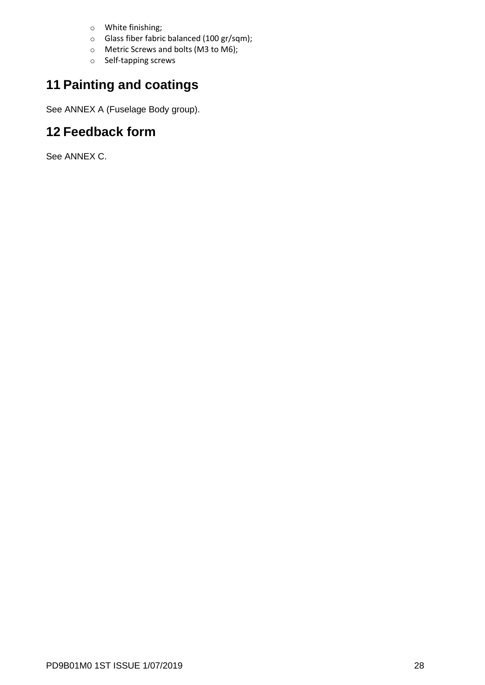- o White finishing;
- o Glass fiber fabric balanced (100 gr/sqm);
- o Metric Screws and bolts (M3 to M6);
- o Self-tapping screws

# <span id="page-29-0"></span>**11 Painting and coatings**

See ANNEX A (Fuselage Body group).

# <span id="page-29-1"></span>**12 Feedback form**

See ANNEX C.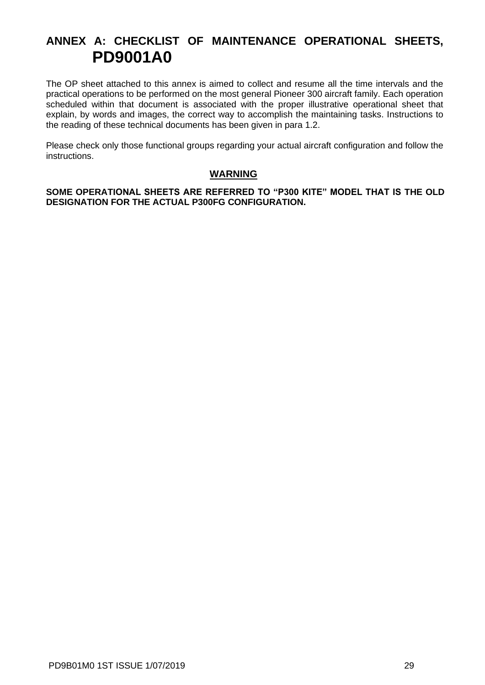# <span id="page-30-0"></span>**ANNEX A: CHECKLIST OF MAINTENANCE OPERATIONAL SHEETS, PD9001A0**

The OP sheet attached to this annex is aimed to collect and resume all the time intervals and the practical operations to be performed on the most general Pioneer 300 aircraft family. Each operation scheduled within that document is associated with the proper illustrative operational sheet that explain, by words and images, the correct way to accomplish the maintaining tasks. Instructions to the reading of these technical documents has been given in para [1.2.](#page-11-3)

Please check only those functional groups regarding your actual aircraft configuration and follow the instructions.

#### **WARNING**

**SOME OPERATIONAL SHEETS ARE REFERRED TO "P300 KITE" MODEL THAT IS THE OLD DESIGNATION FOR THE ACTUAL P300FG CONFIGURATION.**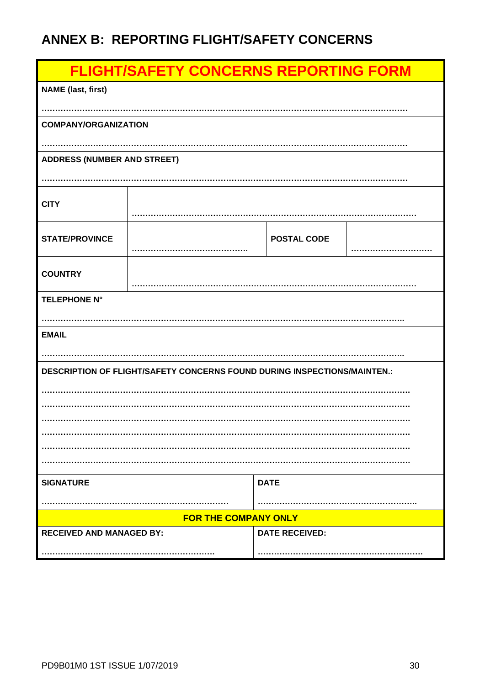# <span id="page-31-0"></span>**ANNEX B: REPORTING FLIGHT/SAFETY CONCERNS**

| <b>FLIGHT/SAFETY CONCERNS REPORTING FORM</b> |                                                                                 |                       |  |
|----------------------------------------------|---------------------------------------------------------------------------------|-----------------------|--|
| <b>NAME</b> (last, first)                    |                                                                                 |                       |  |
|                                              |                                                                                 |                       |  |
| <b>COMPANY/ORGANIZATION</b>                  |                                                                                 |                       |  |
|                                              |                                                                                 |                       |  |
| <b>ADDRESS (NUMBER AND STREET)</b>           |                                                                                 |                       |  |
|                                              |                                                                                 |                       |  |
|                                              |                                                                                 |                       |  |
| <b>CITY</b>                                  |                                                                                 |                       |  |
|                                              |                                                                                 |                       |  |
| <b>STATE/PROVINCE</b>                        |                                                                                 | <b>POSTAL CODE</b>    |  |
|                                              |                                                                                 |                       |  |
| <b>COUNTRY</b>                               |                                                                                 |                       |  |
| <b>TELEPHONE N°</b>                          |                                                                                 |                       |  |
|                                              |                                                                                 |                       |  |
| <b>EMAIL</b>                                 |                                                                                 |                       |  |
|                                              |                                                                                 |                       |  |
|                                              | <b>DESCRIPTION OF FLIGHT/SAFETY CONCERNS FOUND DURING INSPECTIONS/MAINTEN.:</b> |                       |  |
|                                              |                                                                                 |                       |  |
|                                              |                                                                                 |                       |  |
|                                              |                                                                                 |                       |  |
|                                              |                                                                                 |                       |  |
|                                              |                                                                                 |                       |  |
|                                              |                                                                                 |                       |  |
| <b>SIGNATURE</b>                             |                                                                                 | <b>DATE</b>           |  |
|                                              |                                                                                 |                       |  |
|                                              | <b>FOR THE COMPANY ONLY</b>                                                     |                       |  |
| <b>RECEIVED AND MANAGED BY:</b>              |                                                                                 | <b>DATE RECEIVED:</b> |  |
|                                              |                                                                                 |                       |  |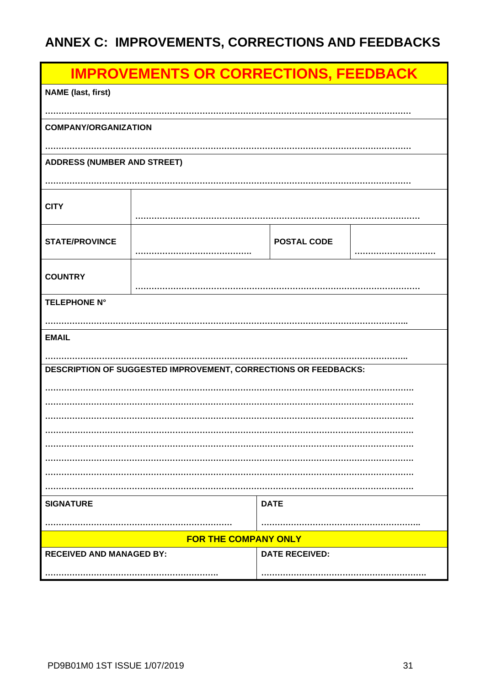# <span id="page-32-0"></span>ANNEX C: IMPROVEMENTS, CORRECTIONS AND FEEDBACKS

| <b>IMPROVEMENTS OR CORRECTIONS, FEEDBACK</b> |                                                                 |                       |  |  |
|----------------------------------------------|-----------------------------------------------------------------|-----------------------|--|--|
| <b>NAME</b> (last, first)                    |                                                                 |                       |  |  |
|                                              |                                                                 |                       |  |  |
| <b>COMPANY/ORGANIZATION</b>                  |                                                                 |                       |  |  |
|                                              |                                                                 |                       |  |  |
| <b>ADDRESS (NUMBER AND STREET)</b>           |                                                                 |                       |  |  |
|                                              |                                                                 |                       |  |  |
| <b>CITY</b>                                  |                                                                 |                       |  |  |
|                                              |                                                                 |                       |  |  |
| <b>STATE/PROVINCE</b>                        |                                                                 | <b>POSTAL CODE</b>    |  |  |
|                                              |                                                                 |                       |  |  |
| <b>COUNTRY</b>                               |                                                                 |                       |  |  |
|                                              |                                                                 |                       |  |  |
| <b>TELEPHONE N°</b>                          |                                                                 |                       |  |  |
|                                              |                                                                 |                       |  |  |
| <b>EMAIL</b>                                 |                                                                 |                       |  |  |
|                                              |                                                                 |                       |  |  |
|                                              | DESCRIPTION OF SUGGESTED IMPROVEMENT, CORRECTIONS OR FEEDBACKS: |                       |  |  |
|                                              |                                                                 |                       |  |  |
|                                              |                                                                 |                       |  |  |
|                                              |                                                                 |                       |  |  |
|                                              |                                                                 |                       |  |  |
|                                              |                                                                 |                       |  |  |
|                                              |                                                                 |                       |  |  |
|                                              |                                                                 |                       |  |  |
|                                              |                                                                 |                       |  |  |
| <b>SIGNATURE</b>                             |                                                                 | <b>DATE</b>           |  |  |
|                                              |                                                                 |                       |  |  |
|                                              | <b>FOR THE COMPANY ONLY</b>                                     |                       |  |  |
| <b>RECEIVED AND MANAGED BY:</b>              |                                                                 | <b>DATE RECEIVED:</b> |  |  |
|                                              |                                                                 |                       |  |  |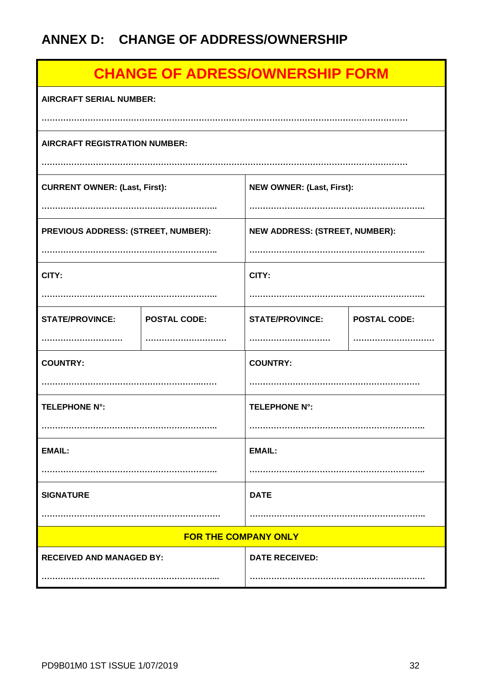# <span id="page-33-0"></span>**ANNEX D: CHANGE OF ADDRESS/OWNERSHIP**

| <b>CHANGE OF ADRESS/OWNERSHIP FORM</b> |                             |                                       |                     |
|----------------------------------------|-----------------------------|---------------------------------------|---------------------|
| <b>AIRCRAFT SERIAL NUMBER:</b>         |                             |                                       |                     |
| <b>AIRCRAFT REGISTRATION NUMBER:</b>   |                             |                                       |                     |
| <b>CURRENT OWNER: (Last, First):</b>   |                             | <b>NEW OWNER: (Last, First):</b>      |                     |
| PREVIOUS ADDRESS: (STREET, NUMBER):    |                             | <b>NEW ADDRESS: (STREET, NUMBER):</b> |                     |
| CITY:                                  |                             |                                       |                     |
|                                        |                             | CITY:                                 |                     |
| <b>STATE/PROVINCE:</b>                 | <b>POSTAL CODE:</b>         | <b>STATE/PROVINCE:</b>                | <b>POSTAL CODE:</b> |
|                                        |                             |                                       |                     |
| <b>COUNTRY:</b>                        |                             | <b>COUNTRY:</b>                       |                     |
|                                        |                             |                                       |                     |
| <b>TELEPHONE N°:</b>                   |                             | <b>TELEPHONE N°:</b>                  |                     |
|                                        |                             |                                       |                     |
| <b>EMAIL:</b>                          |                             | <b>EMAIL:</b>                         |                     |
|                                        |                             |                                       |                     |
| <b>SIGNATURE</b>                       |                             | <b>DATE</b>                           |                     |
|                                        |                             |                                       |                     |
|                                        | <b>FOR THE COMPANY ONLY</b> |                                       |                     |
| <b>RECEIVED AND MANAGED BY:</b>        |                             | <b>DATE RECEIVED:</b>                 |                     |
|                                        |                             |                                       |                     |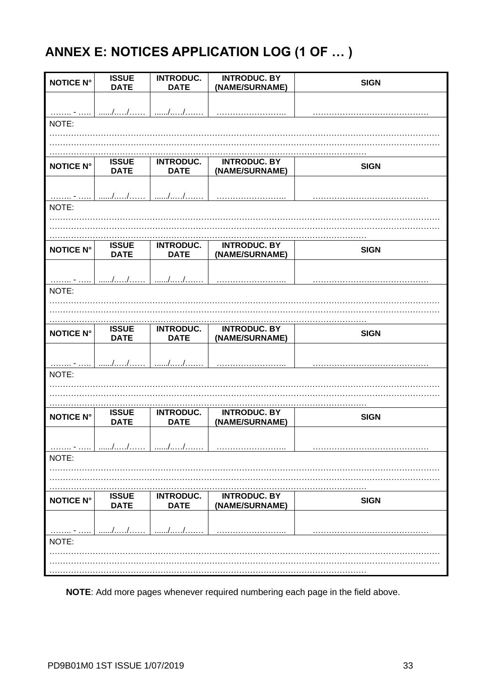# <span id="page-34-0"></span>ANNEX E: NOTICES APPLICATION LOG (1 OF ... )

| <b>NOTICE N°</b> | <b>ISSUE</b><br><b>DATE</b> | <b>INTRODUC.</b><br><b>DATE</b> | <b>INTRODUC. BY</b><br>(NAME/SURNAME) | <b>SIGN</b> |
|------------------|-----------------------------|---------------------------------|---------------------------------------|-------------|
|                  |                             |                                 |                                       |             |
| NOTE:            | //                          | . /                             |                                       |             |
|                  |                             |                                 |                                       |             |
|                  |                             |                                 |                                       |             |
| <b>NOTICE N°</b> | <b>ISSUE</b><br><b>DATE</b> | <b>INTRODUC.</b><br><b>DATE</b> | <b>INTRODUC. BY</b><br>(NAME/SURNAME) | <b>SIGN</b> |
| .                | . / /                       | //                              |                                       |             |
| NOTE:            |                             |                                 |                                       |             |
|                  |                             |                                 |                                       |             |
|                  | <b>ISSUE</b>                | <b>INTRODUC.</b>                | <b>INTRODUC. BY</b>                   |             |
| <b>NOTICE N°</b> | <b>DATE</b>                 | <b>DATE</b>                     | (NAME/SURNAME)                        | <b>SIGN</b> |
|                  | //                          | //                              |                                       |             |
| . 7<br>NOTE:     |                             |                                 |                                       |             |
|                  |                             |                                 |                                       |             |
|                  |                             |                                 |                                       |             |
| <b>NOTICE N°</b> | <b>ISSUE</b><br><b>DATE</b> | <b>INTRODUC.</b><br><b>DATE</b> | <b>INTRODUC. BY</b><br>(NAME/SURNAME) | <b>SIGN</b> |
|                  | //                          | //                              |                                       |             |
| NOTE:            |                             |                                 |                                       |             |
|                  |                             |                                 |                                       |             |
|                  |                             |                                 |                                       |             |
|                  |                             |                                 |                                       |             |
| <b>NOTICE N°</b> | <b>ISSUE</b><br><b>DATE</b> | <b>INTRODUC.</b><br><b>DATE</b> | <b>INTRODUC. BY</b><br>(NAME/SURNAME) | <b>SIGN</b> |
|                  |                             |                                 |                                       |             |
| NOTE:            |                             |                                 |                                       |             |
|                  |                             |                                 |                                       |             |
|                  |                             |                                 |                                       |             |
| <b>NOTICE N°</b> | <b>ISSUE</b><br><b>DATE</b> | <b>INTRODUC.</b><br><b>DATE</b> | <b>INTRODUC. BY</b><br>(NAME/SURNAME) | <b>SIGN</b> |
|                  |                             |                                 |                                       |             |
| NOTE:            |                             |                                 |                                       |             |
|                  |                             |                                 |                                       |             |

NOTE: Add more pages whenever required numbering each page in the field above.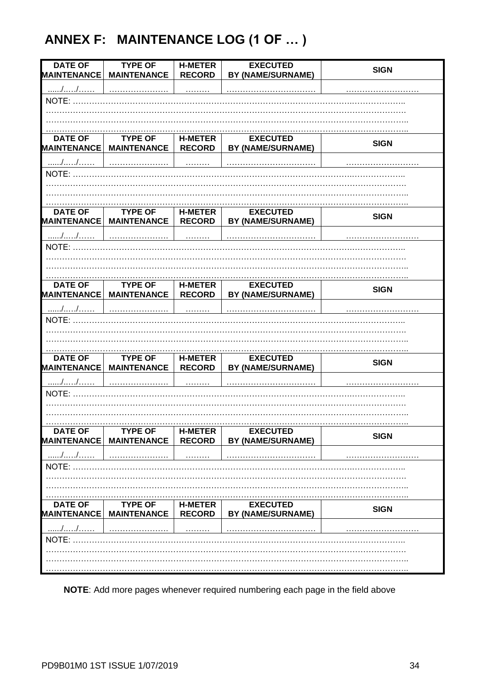# <span id="page-35-0"></span>ANNEX F: MAINTENANCE LOG (1 OF ... )

| <b>DATE OF</b>     | <b>TYPE OF</b>     | <b>H-METER</b> | <b>EXECUTED</b>          |             |
|--------------------|--------------------|----------------|--------------------------|-------------|
| <b>MAINTENANCE</b> | <b>MAINTENANCE</b> | <b>RECORD</b>  | BY (NAME/SURNAME)        | <b>SIGN</b> |
| //                 |                    |                |                          |             |
| NOTE:              |                    |                |                          |             |
|                    |                    |                |                          |             |
|                    |                    |                |                          |             |
| <b>DATE OF</b>     | <b>TYPE OF</b>     | <b>H-METER</b> | <b>EXECUTED</b>          | <b>SIGN</b> |
| <b>MAINTENANCE</b> | <b>MAINTENANCE</b> | <b>RECORD</b>  | <b>BY (NAME/SURNAME)</b> |             |
| //                 |                    |                |                          |             |
|                    |                    |                |                          |             |
|                    |                    |                |                          |             |
|                    |                    |                |                          |             |
| <b>DATE OF</b>     | <b>TYPE OF</b>     | <b>H-METER</b> | <b>EXECUTED</b>          |             |
| <b>MAINTENANCE</b> | <b>MAINTENANCE</b> | <b>RECORD</b>  | BY (NAME/SURNAME)        | <b>SIGN</b> |
| //                 |                    |                |                          |             |
|                    |                    |                |                          |             |
|                    |                    |                |                          |             |
|                    |                    |                |                          |             |
|                    |                    |                |                          |             |
| <b>DATE OF</b>     | <b>TYPE OF</b>     | <b>H-METER</b> | <b>EXECUTED</b>          | <b>SIGN</b> |
| <b>MAINTENANCE</b> | <b>MAINTENANCE</b> | <b>RECORD</b>  | <b>BY (NAME/SURNAME)</b> |             |
| //                 |                    |                |                          |             |
| <b>NOTE: </b>      |                    |                |                          |             |
|                    |                    |                |                          |             |
|                    |                    |                |                          |             |
| <b>DATE OF</b>     | <b>TYPE OF</b>     | <b>H-METER</b> | <b>EXECUTED</b>          |             |
| <b>MAINTENANCE</b> | <b>MAINTENANCE</b> | <b>RECORD</b>  | BY (NAME/SURNAME)        | <b>SIGN</b> |
| //                 |                    |                |                          |             |
| NOTE:              |                    |                |                          |             |
|                    |                    |                |                          |             |
|                    |                    |                |                          |             |
| <b>DATE OF</b>     | <b>TYPE OF</b>     | <b>H-METER</b> | <b>EXECUTED</b>          |             |
| <b>MAINTENANCE</b> | <b>MAINTENANCE</b> | <b>RECORD</b>  | BY (NAME/SURNAME)        | <b>SIGN</b> |
| //                 |                    |                |                          |             |
| NOTE:              |                    |                |                          |             |
|                    |                    |                |                          |             |
|                    |                    |                |                          |             |
| <b>DATE OF</b>     | <b>TYPE OF</b>     | <b>H-METER</b> | <b>EXECUTED</b>          |             |
| <b>MAINTENANCE</b> | <b>MAINTENANCE</b> | <b>RECORD</b>  | BY (NAME/SURNAME)        | <b>SIGN</b> |
| //                 |                    |                |                          |             |
| NOTE:              |                    |                |                          |             |
|                    |                    |                |                          |             |
|                    |                    |                |                          |             |
|                    |                    |                |                          |             |

NOTE: Add more pages whenever required numbering each page in the field above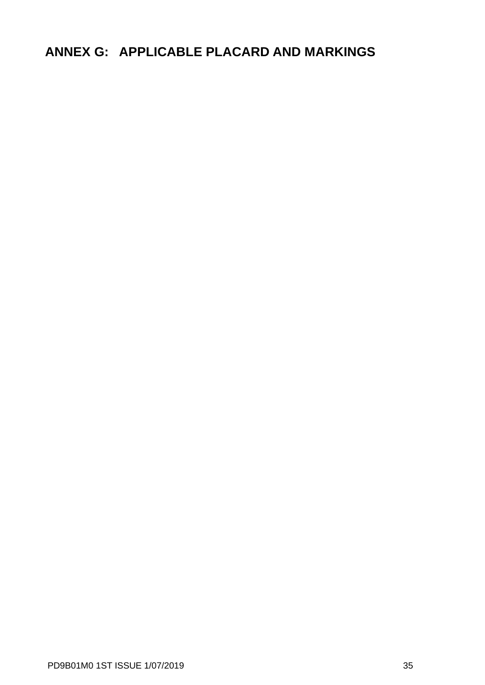# <span id="page-36-0"></span>**ANNEX G: APPLICABLE PLACARD AND MARKINGS**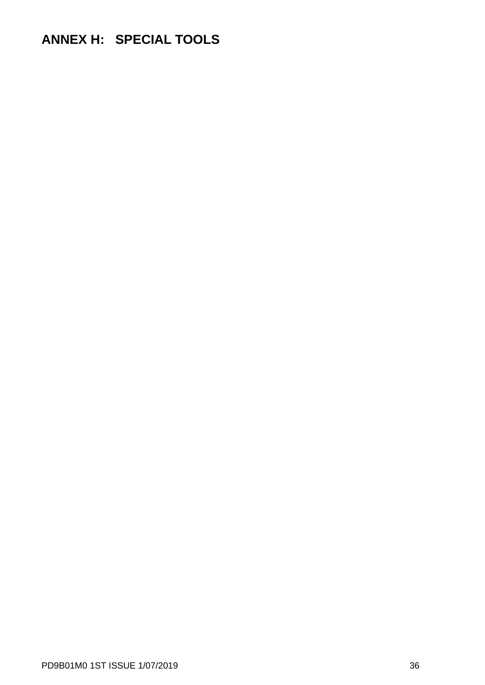# <span id="page-37-0"></span>**ANNEX H: SPECIAL TOOLS**